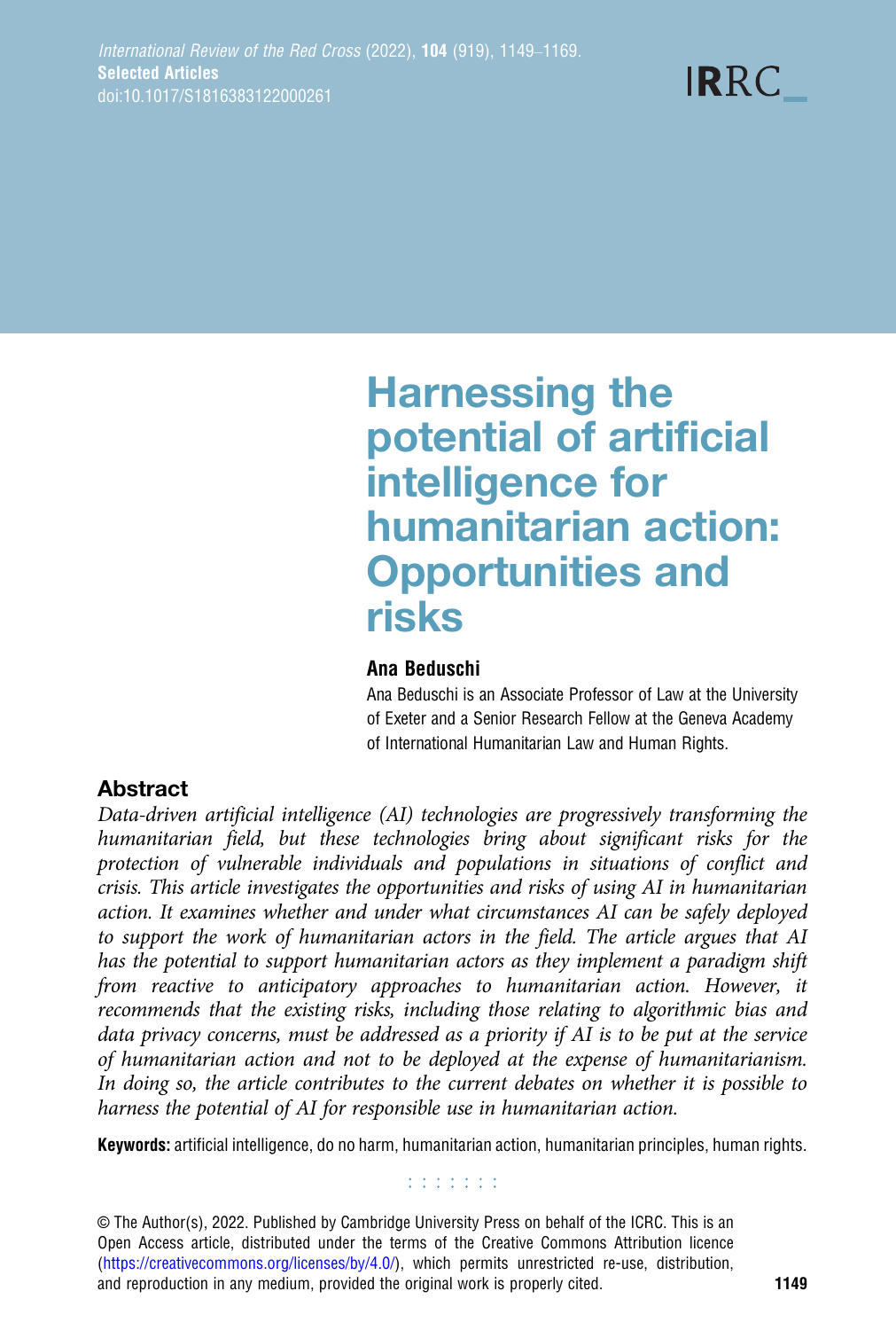# Harnessing the potential of artificial intelligence for humanitarian action: Opportunities and risks

#### Ana Beduschi

Ana Beduschi is an Associate Professor of Law at the University of Exeter and a Senior Research Fellow at the Geneva Academy of International Humanitarian Law and Human Rights.

# Abstract

Data-driven artificial intelligence (AI) technologies are progressively transforming the humanitarian field, but these technologies bring about significant risks for the protection of vulnerable individuals and populations in situations of conflict and crisis. This article investigates the opportunities and risks of using AI in humanitarian action. It examines whether and under what circumstances AI can be safely deployed to support the work of humanitarian actors in the field. The article argues that AI has the potential to support humanitarian actors as they implement a paradigm shift from reactive to anticipatory approaches to humanitarian action. However, it recommends that the existing risks, including those relating to algorithmic bias and data privacy concerns, must be addressed as a priority if AI is to be put at the service of humanitarian action and not to be deployed at the expense of humanitarianism. In doing so, the article contributes to the current debates on whether it is possible to harness the potential of AI for responsible use in humanitarian action.

Keywords: artificial intelligence, do no harm, humanitarian action, humanitarian principles, human rights.

#### **Editoria**

© The Author(s), 2022. Published by Cambridge University Press on behalf of the ICRC. This is an Open Access article, distributed under the terms of the Creative Commons Attribution licence ([https://creativecommons.org/licenses/by/4.0/\)](https://creativecommons.org/licenses/by/4.0/), which permits unrestricted re-use, distribution, and reproduction in any medium, provided the original work is properly cited. 1149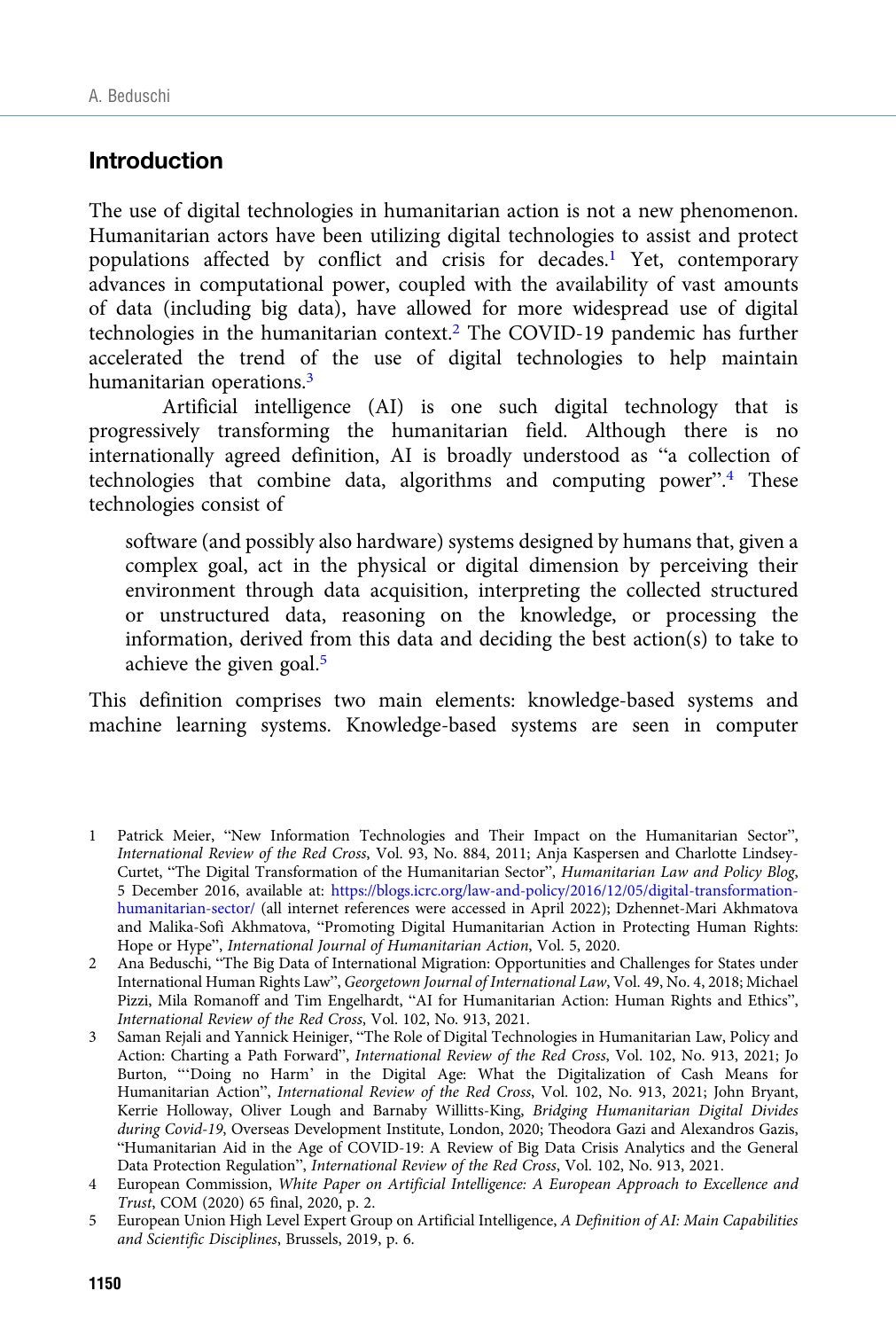# Introduction

The use of digital technologies in humanitarian action is not a new phenomenon. Humanitarian actors have been utilizing digital technologies to assist and protect populations affected by conflict and crisis for decades.<sup>1</sup> Yet, contemporary advances in computational power, coupled with the availability of vast amounts of data (including big data), have allowed for more widespread use of digital technologies in the humanitarian context.<sup>2</sup> The COVID-19 pandemic has further accelerated the trend of the use of digital technologies to help maintain humanitarian operations.<sup>3</sup>

Artificial intelligence (AI) is one such digital technology that is progressively transforming the humanitarian field. Although there is no internationally agreed definition, AI is broadly understood as "a collection of technologies that combine data, algorithms and computing power". <sup>4</sup> These technologies consist of

software (and possibly also hardware) systems designed by humans that, given a complex goal, act in the physical or digital dimension by perceiving their environment through data acquisition, interpreting the collected structured or unstructured data, reasoning on the knowledge, or processing the information, derived from this data and deciding the best action(s) to take to achieve the given goal.<sup>5</sup>

This definition comprises two main elements: knowledge-based systems and machine learning systems. Knowledge-based systems are seen in computer

<sup>1</sup> Patrick Meier, "New Information Technologies and Their Impact on the Humanitarian Sector", International Review of the Red Cross, Vol. 93, No. 884, 2011; Anja Kaspersen and Charlotte Lindsey-Curtet, "The Digital Transformation of the Humanitarian Sector", Humanitarian Law and Policy Blog, 5 December 2016, available at: [https://blogs.icrc.org/law-and-policy/2016/12/05/digital-transformation](https://blogs.icrc.org/law-and-policy/2016/12/05/digital-transformation-humanitarian-sector/)[humanitarian-sector/](https://blogs.icrc.org/law-and-policy/2016/12/05/digital-transformation-humanitarian-sector/) (all internet references were accessed in April 2022); Dzhennet-Mari Akhmatova and Malika-Sofi Akhmatova, "Promoting Digital Humanitarian Action in Protecting Human Rights: Hope or Hype", International Journal of Humanitarian Action, Vol. 5, 2020.

<sup>2</sup> Ana Beduschi, "The Big Data of International Migration: Opportunities and Challenges for States under International Human Rights Law", Georgetown Journal of International Law, Vol. 49, No. 4, 2018; Michael Pizzi, Mila Romanoff and Tim Engelhardt, "AI for Humanitarian Action: Human Rights and Ethics", International Review of the Red Cross, Vol. 102, No. 913, 2021.

<sup>3</sup> Saman Rejali and Yannick Heiniger, "The Role of Digital Technologies in Humanitarian Law, Policy and Action: Charting a Path Forward", International Review of the Red Cross, Vol. 102, No. 913, 2021; Jo Burton, "'Doing no Harm' in the Digital Age: What the Digitalization of Cash Means for Humanitarian Action", International Review of the Red Cross, Vol. 102, No. 913, 2021; John Bryant, Kerrie Holloway, Oliver Lough and Barnaby Willitts-King, Bridging Humanitarian Digital Divides during Covid-19, Overseas Development Institute, London, 2020; Theodora Gazi and Alexandros Gazis, "Humanitarian Aid in the Age of COVID-19: A Review of Big Data Crisis Analytics and the General Data Protection Regulation", International Review of the Red Cross, Vol. 102, No. 913, 2021.

<sup>4</sup> European Commission, White Paper on Artificial Intelligence: A European Approach to Excellence and Trust, COM (2020) 65 final, 2020, p. 2.

<sup>5</sup> European Union High Level Expert Group on Artificial Intelligence, A Definition of AI: Main Capabilities and Scientific Disciplines, Brussels, 2019, p. 6.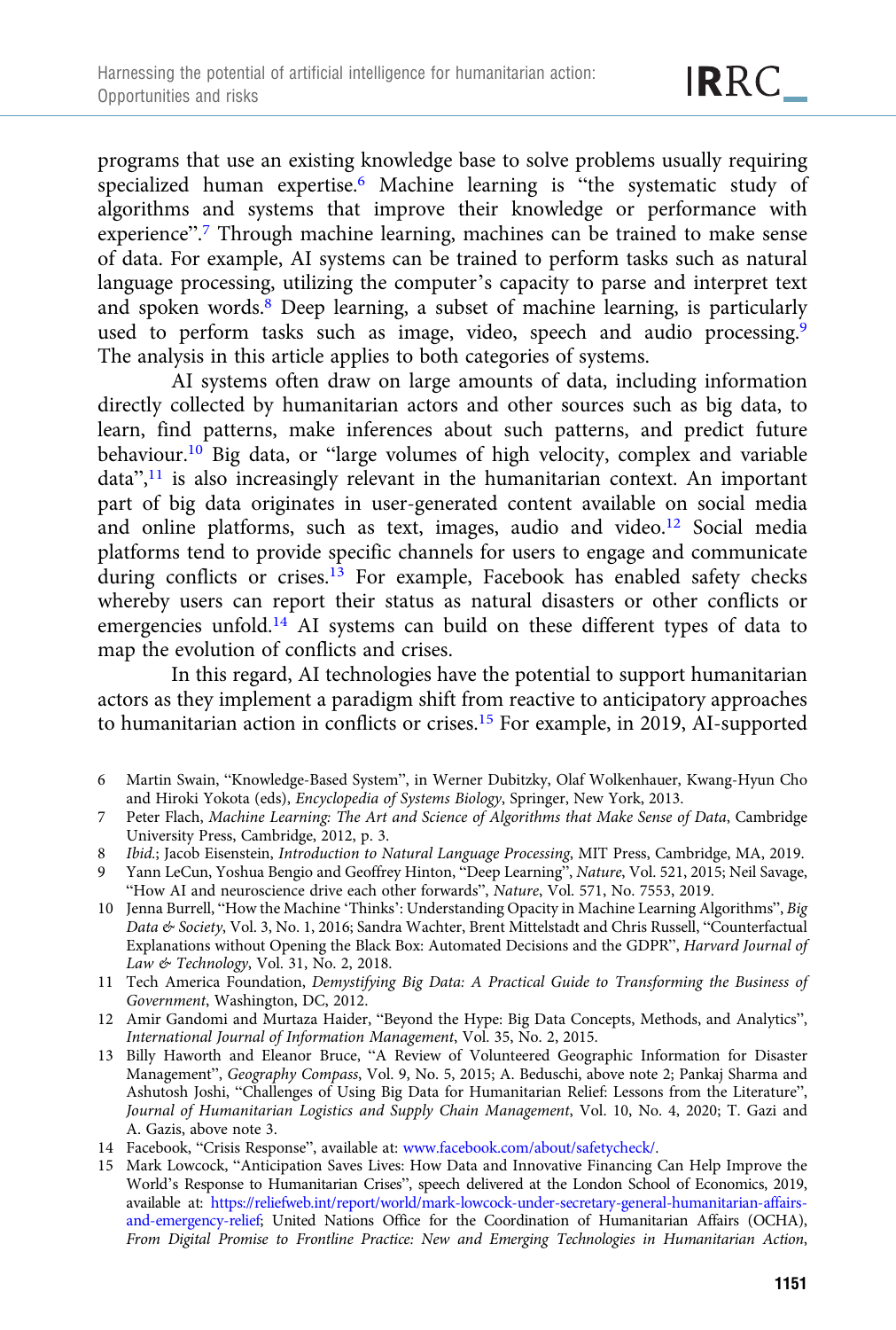programs that use an existing knowledge base to solve problems usually requiring specialized human expertise.<sup>6</sup> Machine learning is "the systematic study of algorithms and systems that improve their knowledge or performance with experience".<sup>7</sup> Through machine learning, machines can be trained to make sense of data. For example, AI systems can be trained to perform tasks such as natural language processing, utilizing the computer's capacity to parse and interpret text and spoken words.8 Deep learning, a subset of machine learning, is particularly used to perform tasks such as image, video, speech and audio processing.<sup>9</sup> The analysis in this article applies to both categories of systems.

AI systems often draw on large amounts of data, including information directly collected by humanitarian actors and other sources such as big data, to learn, find patterns, make inferences about such patterns, and predict future behaviour.10 Big data, or "large volumes of high velocity, complex and variable data",<sup>11</sup> is also increasingly relevant in the humanitarian context. An important part of big data originates in user-generated content available on social media and online platforms, such as text, images, audio and video.12 Social media platforms tend to provide specific channels for users to engage and communicate during conflicts or crises.<sup>13</sup> For example, Facebook has enabled safety checks whereby users can report their status as natural disasters or other conflicts or emergencies unfold.14 AI systems can build on these different types of data to map the evolution of conflicts and crises.

In this regard, AI technologies have the potential to support humanitarian actors as they implement a paradigm shift from reactive to anticipatory approaches to humanitarian action in conflicts or crises.15 For example, in 2019, AI-supported

- 6 Martin Swain, "Knowledge-Based System", in Werner Dubitzky, Olaf Wolkenhauer, Kwang-Hyun Cho and Hiroki Yokota (eds), Encyclopedia of Systems Biology, Springer, New York, 2013.
- 7 Peter Flach, Machine Learning: The Art and Science of Algorithms that Make Sense of Data, Cambridge University Press, Cambridge, 2012, p. 3.
- 8 Ibid.; Jacob Eisenstein, Introduction to Natural Language Processing, MIT Press, Cambridge, MA, 2019.
- 9 Yann LeCun, Yoshua Bengio and Geoffrey Hinton, "Deep Learning", Nature, Vol. 521, 2015; Neil Savage, "How AI and neuroscience drive each other forwards", Nature, Vol. 571, No. 7553, 2019.
- 10 Jenna Burrell, "How the Machine 'Thinks': Understanding Opacity in Machine Learning Algorithms", Big Data & Society, Vol. 3, No. 1, 2016; Sandra Wachter, Brent Mittelstadt and Chris Russell, "Counterfactual Explanations without Opening the Black Box: Automated Decisions and the GDPR", Harvard Journal of Law & Technology, Vol. 31, No. 2, 2018.
- 11 Tech America Foundation, Demystifying Big Data: A Practical Guide to Transforming the Business of Government, Washington, DC, 2012.
- 12 Amir Gandomi and Murtaza Haider, "Beyond the Hype: Big Data Concepts, Methods, and Analytics", International Journal of Information Management, Vol. 35, No. 2, 2015.
- 13 Billy Haworth and Eleanor Bruce, "A Review of Volunteered Geographic Information for Disaster Management", Geography Compass, Vol. 9, No. 5, 2015; A. Beduschi, above note 2; Pankaj Sharma and Ashutosh Joshi, "Challenges of Using Big Data for Humanitarian Relief: Lessons from the Literature", Journal of Humanitarian Logistics and Supply Chain Management, Vol. 10, No. 4, 2020; T. Gazi and A. Gazis, above note 3.
- 14 Facebook, "Crisis Response", available at: [www.facebook.com/about/safetycheck/](https://www.facebook.com/about/safetycheck/).
- 15 Mark Lowcock, "Anticipation Saves Lives: How Data and Innovative Financing Can Help Improve the World's Response to Humanitarian Crises", speech delivered at the London School of Economics, 2019, available at: [https://reliefweb.int/report/world/mark-lowcock-under-secretary-general-humanitarian-affairs](https://reliefweb.int/report/world/mark-lowcock-under-secretary-general-humanitarian-affairs-and-emergency-relief)[and-emergency-relief;](https://reliefweb.int/report/world/mark-lowcock-under-secretary-general-humanitarian-affairs-and-emergency-relief) United Nations Office for the Coordination of Humanitarian Affairs (OCHA), From Digital Promise to Frontline Practice: New and Emerging Technologies in Humanitarian Action,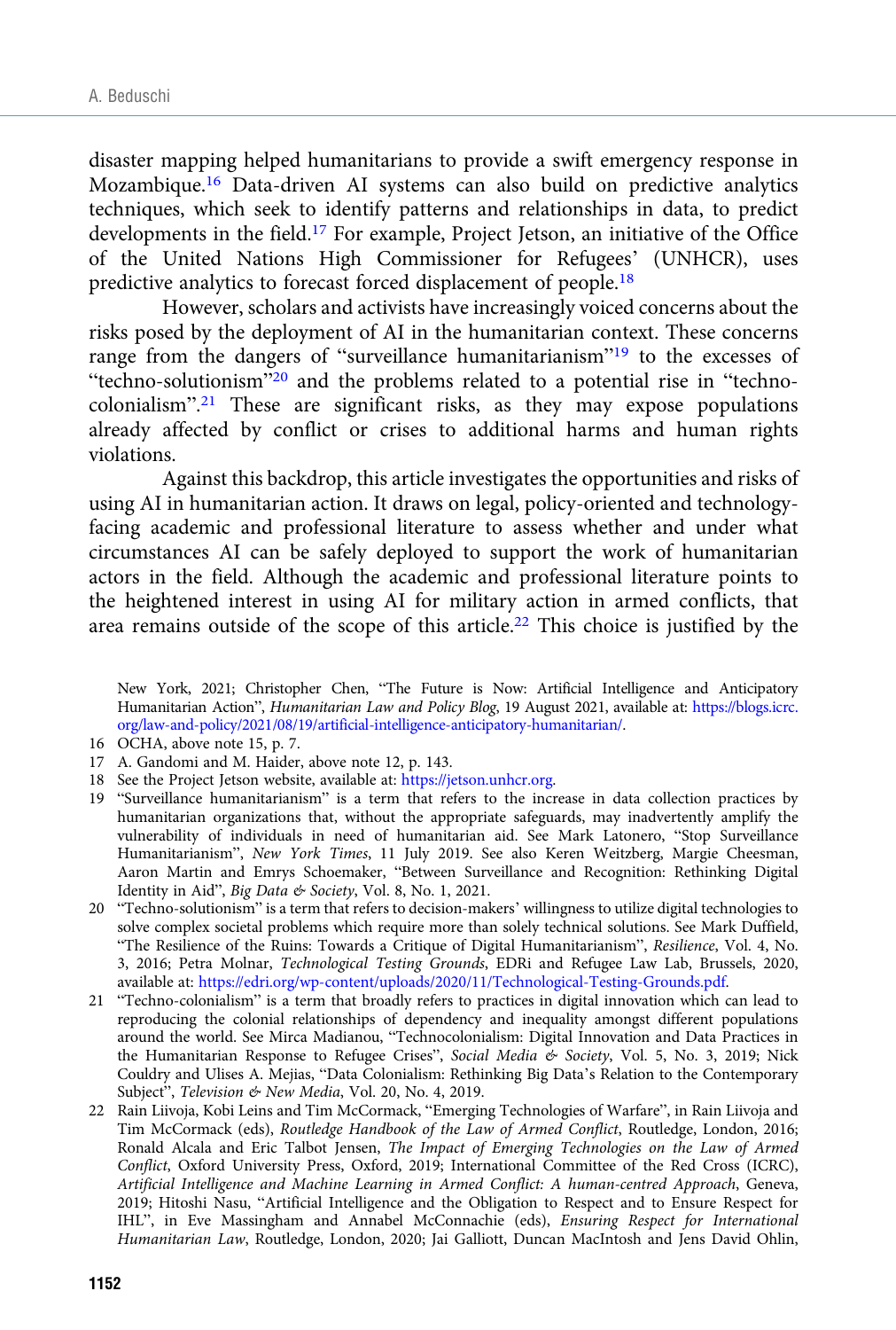disaster mapping helped humanitarians to provide a swift emergency response in Mozambique.16 Data-driven AI systems can also build on predictive analytics techniques, which seek to identify patterns and relationships in data, to predict developments in the field.<sup>17</sup> For example, Project Jetson, an initiative of the Office of the United Nations High Commissioner for Refugees' (UNHCR), uses predictive analytics to forecast forced displacement of people.18

However, scholars and activists have increasingly voiced concerns about the risks posed by the deployment of AI in the humanitarian context. These concerns range from the dangers of "surveillance humanitarianism"<sup>19</sup> to the excesses of "techno-solutionism"<sup>20</sup> and the problems related to a potential rise in "technocolonialism". <sup>21</sup> These are significant risks, as they may expose populations already affected by conflict or crises to additional harms and human rights violations.

Against this backdrop, this article investigates the opportunities and risks of using AI in humanitarian action. It draws on legal, policy-oriented and technologyfacing academic and professional literature to assess whether and under what circumstances AI can be safely deployed to support the work of humanitarian actors in the field. Although the academic and professional literature points to the heightened interest in using AI for military action in armed conflicts, that area remains outside of the scope of this article.<sup>22</sup> This choice is justified by the

New York, 2021; Christopher Chen, "The Future is Now: Artificial Intelligence and Anticipatory Humanitarian Action", Humanitarian Law and Policy Blog, 19 August 2021, available at: [https://blogs.icrc.](https://blogs.icrc.org/law-and-policy/2021/08/19/artificial-intelligence-anticipatory-humanitarian/) [org/law-and-policy/2021/08/19/artificial-intelligence-anticipatory-humanitarian/](https://blogs.icrc.org/law-and-policy/2021/08/19/artificial-intelligence-anticipatory-humanitarian/).

- 16 OCHA, above note 15, p. 7.
- 17 A. Gandomi and M. Haider, above note 12, p. 143.
- 18 See the Project Jetson website, available at: [https://jetson.unhcr.org.](https://jetson.unhcr.org)
- 19 "Surveillance humanitarianism" is a term that refers to the increase in data collection practices by humanitarian organizations that, without the appropriate safeguards, may inadvertently amplify the vulnerability of individuals in need of humanitarian aid. See Mark Latonero, "Stop Surveillance Humanitarianism", New York Times, 11 July 2019. See also Keren Weitzberg, Margie Cheesman, Aaron Martin and Emrys Schoemaker, "Between Surveillance and Recognition: Rethinking Digital Identity in Aid", Big Data & Society, Vol. 8, No. 1, 2021.
- 20 "Techno-solutionism" is a term that refers to decision-makers' willingness to utilize digital technologies to solve complex societal problems which require more than solely technical solutions. See Mark Duffield, "The Resilience of the Ruins: Towards a Critique of Digital Humanitarianism", Resilience, Vol. 4, No. 3, 2016; Petra Molnar, Technological Testing Grounds, EDRi and Refugee Law Lab, Brussels, 2020, available at: [https://edri.org/wp-content/uploads/2020/11/Technological-Testing-Grounds.pdf.](https://edri.org/wp-content/uploads/2020/11/Technological-Testing-Grounds.pdf)
- 21 "Techno-colonialism" is a term that broadly refers to practices in digital innovation which can lead to reproducing the colonial relationships of dependency and inequality amongst different populations around the world. See Mirca Madianou, "Technocolonialism: Digital Innovation and Data Practices in the Humanitarian Response to Refugee Crises", Social Media & Society, Vol. 5, No. 3, 2019; Nick Couldry and Ulises A. Mejias, "Data Colonialism: Rethinking Big Data's Relation to the Contemporary Subject", Television & New Media, Vol. 20, No. 4, 2019.
- 22 Rain Liivoja, Kobi Leins and Tim McCormack, "Emerging Technologies of Warfare", in Rain Liivoja and Tim McCormack (eds), Routledge Handbook of the Law of Armed Conflict, Routledge, London, 2016; Ronald Alcala and Eric Talbot Jensen, The Impact of Emerging Technologies on the Law of Armed Conflict, Oxford University Press, Oxford, 2019; International Committee of the Red Cross (ICRC), Artificial Intelligence and Machine Learning in Armed Conflict: A human-centred Approach, Geneva, 2019; Hitoshi Nasu, "Artificial Intelligence and the Obligation to Respect and to Ensure Respect for IHL", in Eve Massingham and Annabel McConnachie (eds), Ensuring Respect for International Humanitarian Law, Routledge, London, 2020; Jai Galliott, Duncan MacIntosh and Jens David Ohlin,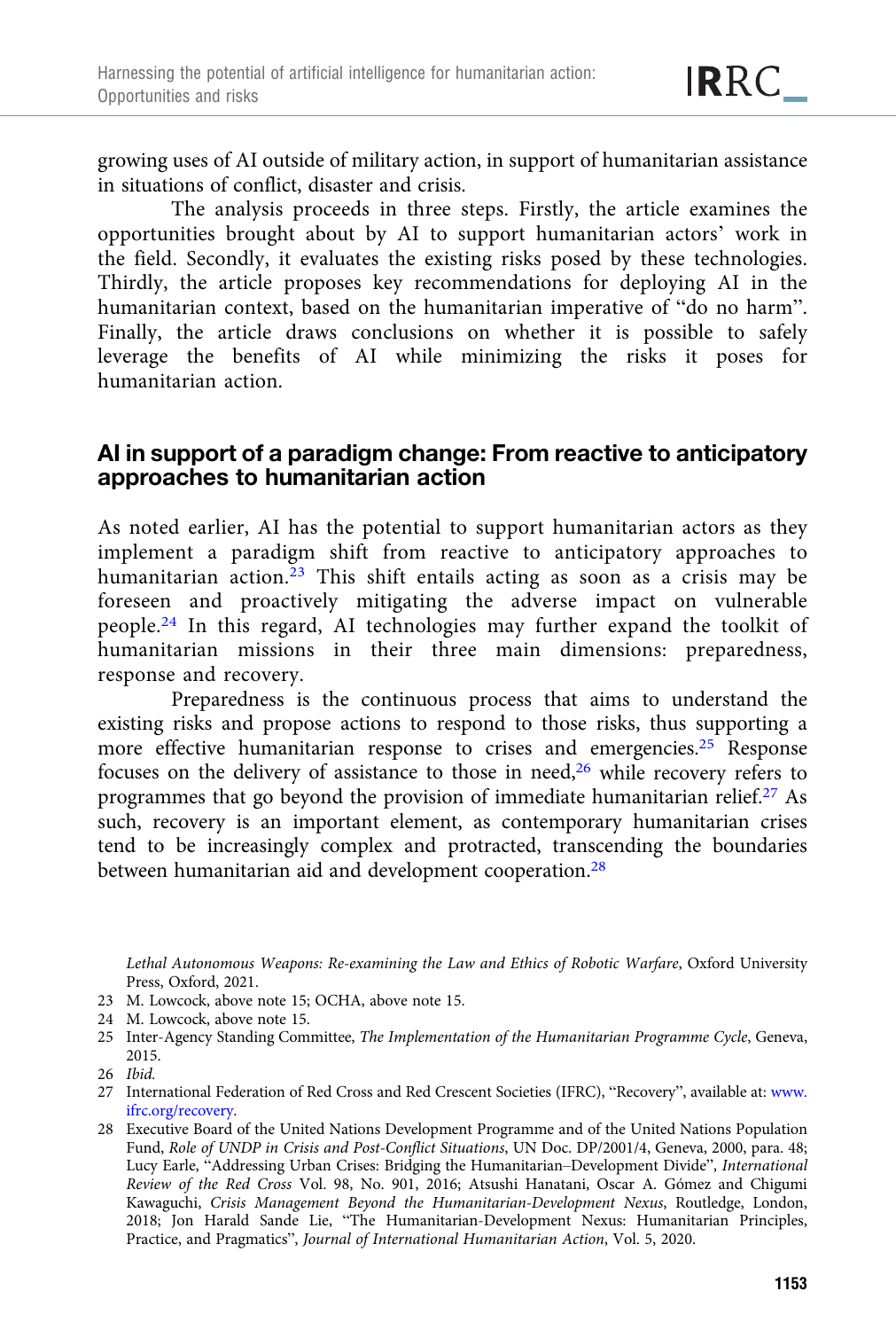growing uses of AI outside of military action, in support of humanitarian assistance in situations of conflict, disaster and crisis.

The analysis proceeds in three steps. Firstly, the article examines the opportunities brought about by AI to support humanitarian actors' work in the field. Secondly, it evaluates the existing risks posed by these technologies. Thirdly, the article proposes key recommendations for deploying AI in the humanitarian context, based on the humanitarian imperative of "do no harm". Finally, the article draws conclusions on whether it is possible to safely leverage the benefits of AI while minimizing the risks it poses for humanitarian action.

## AI in support of a paradigm change: From reactive to anticipatory approaches to humanitarian action

As noted earlier, AI has the potential to support humanitarian actors as they implement a paradigm shift from reactive to anticipatory approaches to humanitarian action.<sup>23</sup> This shift entails acting as soon as a crisis may be foreseen and proactively mitigating the adverse impact on vulnerable people.<sup>24</sup> In this regard, AI technologies may further expand the toolkit of humanitarian missions in their three main dimensions: preparedness, response and recovery.

Preparedness is the continuous process that aims to understand the existing risks and propose actions to respond to those risks, thus supporting a more effective humanitarian response to crises and emergencies.25 Response focuses on the delivery of assistance to those in need,26 while recovery refers to programmes that go beyond the provision of immediate humanitarian relief.<sup>27</sup> As such, recovery is an important element, as contemporary humanitarian crises tend to be increasingly complex and protracted, transcending the boundaries between humanitarian aid and development cooperation.28

Lethal Autonomous Weapons: Re-examining the Law and Ethics of Robotic Warfare, Oxford University Press, Oxford, 2021.

- 23 M. Lowcock, above note 15; OCHA, above note 15.
- 24 M. Lowcock, above note 15.
- 25 Inter-Agency Standing Committee, The Implementation of the Humanitarian Programme Cycle, Geneva, 2015.

<sup>26</sup> Ibid.

<sup>27</sup> International Federation of Red Cross and Red Crescent Societies (IFRC), "Recovery", available at: [www.](https://www.ifrc.org/recovery) [ifrc.org/recovery](https://www.ifrc.org/recovery).

<sup>28</sup> Executive Board of the United Nations Development Programme and of the United Nations Population Fund, Role of UNDP in Crisis and Post-Conflict Situations, UN Doc. DP/2001/4, Geneva, 2000, para. 48; Lucy Earle, "Addressing Urban Crises: Bridging the Humanitarian–Development Divide", International Review of the Red Cross Vol. 98, No. 901, 2016; Atsushi Hanatani, Oscar A. Gómez and Chigumi Kawaguchi, Crisis Management Beyond the Humanitarian-Development Nexus, Routledge, London, 2018; Jon Harald Sande Lie, "The Humanitarian-Development Nexus: Humanitarian Principles, Practice, and Pragmatics", Journal of International Humanitarian Action, Vol. 5, 2020.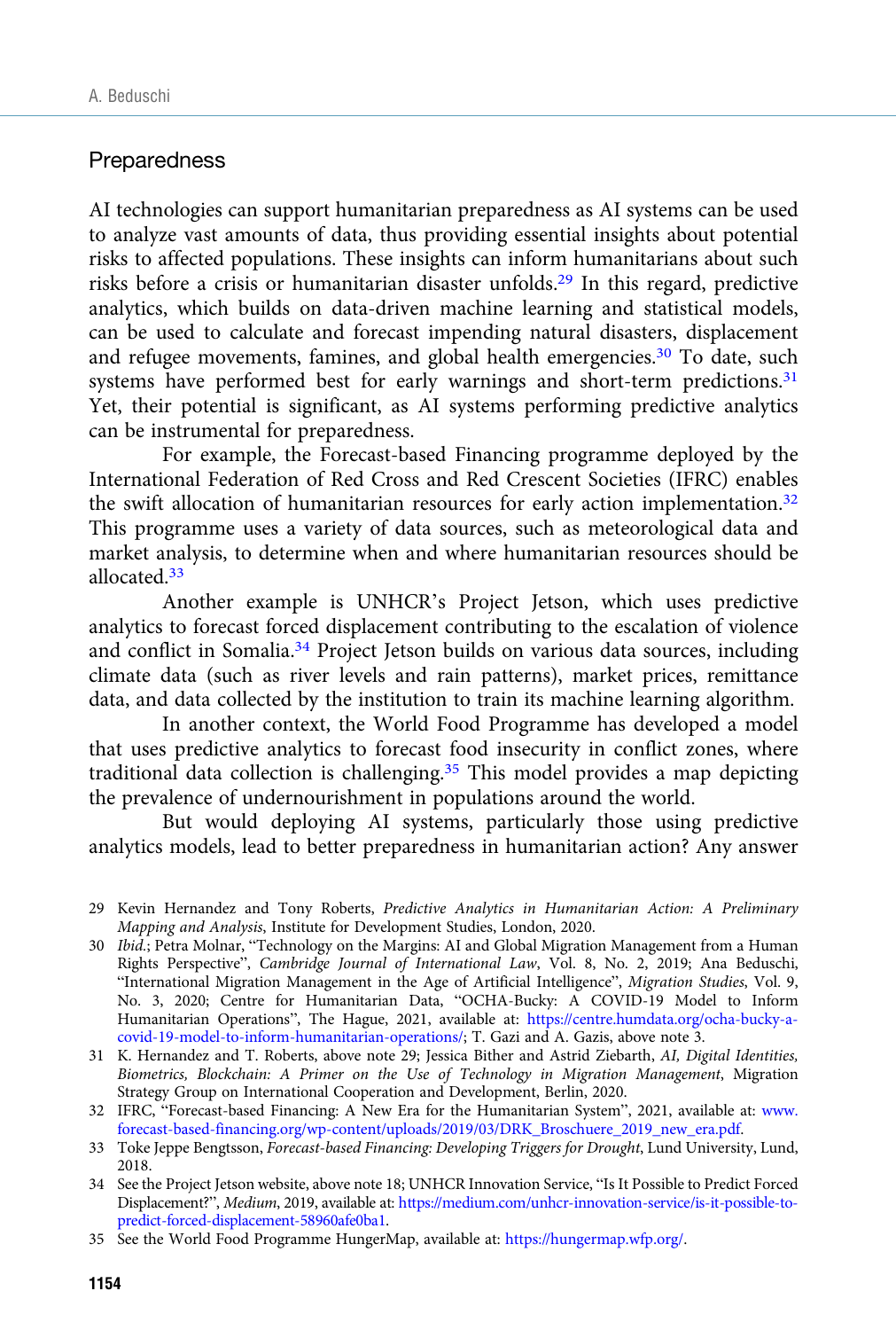#### Preparedness

AI technologies can support humanitarian preparedness as AI systems can be used to analyze vast amounts of data, thus providing essential insights about potential risks to affected populations. These insights can inform humanitarians about such risks before a crisis or humanitarian disaster unfolds.29 In this regard, predictive analytics, which builds on data-driven machine learning and statistical models, can be used to calculate and forecast impending natural disasters, displacement and refugee movements, famines, and global health emergencies.<sup>30</sup> To date, such systems have performed best for early warnings and short-term predictions.<sup>31</sup> Yet, their potential is significant, as AI systems performing predictive analytics can be instrumental for preparedness.

For example, the Forecast-based Financing programme deployed by the International Federation of Red Cross and Red Crescent Societies (IFRC) enables the swift allocation of humanitarian resources for early action implementation.<sup>32</sup> This programme uses a variety of data sources, such as meteorological data and market analysis, to determine when and where humanitarian resources should be allocated<sup>33</sup>

Another example is UNHCR's Project Jetson, which uses predictive analytics to forecast forced displacement contributing to the escalation of violence and conflict in Somalia.<sup>34</sup> Project Jetson builds on various data sources, including climate data (such as river levels and rain patterns), market prices, remittance data, and data collected by the institution to train its machine learning algorithm.

In another context, the World Food Programme has developed a model that uses predictive analytics to forecast food insecurity in conflict zones, where traditional data collection is challenging. $35$  This model provides a map depicting the prevalence of undernourishment in populations around the world.

But would deploying AI systems, particularly those using predictive analytics models, lead to better preparedness in humanitarian action? Any answer

31 K. Hernandez and T. Roberts, above note 29; Jessica Bither and Astrid Ziebarth, AI, Digital Identities, Biometrics, Blockchain: A Primer on the Use of Technology in Migration Management, Migration Strategy Group on International Cooperation and Development, Berlin, 2020.

<sup>29</sup> Kevin Hernandez and Tony Roberts, Predictive Analytics in Humanitarian Action: A Preliminary Mapping and Analysis, Institute for Development Studies, London, 2020.

<sup>30</sup> Ibid.; Petra Molnar, "Technology on the Margins: AI and Global Migration Management from a Human Rights Perspective", Cambridge Journal of International Law, Vol. 8, No. 2, 2019; Ana Beduschi, "International Migration Management in the Age of Artificial Intelligence", Migration Studies, Vol. 9, No. 3, 2020; Centre for Humanitarian Data, "OCHA-Bucky: A COVID-19 Model to Inform Humanitarian Operations", The Hague, 2021, available at: [https://centre.humdata.org/ocha-bucky-a](https://centre.humdata.org/ocha-bucky-a-covid-19-model-to-inform-humanitarian-operations/)[covid-19-model-to-inform-humanitarian-operations/](https://centre.humdata.org/ocha-bucky-a-covid-19-model-to-inform-humanitarian-operations/); T. Gazi and A. Gazis, above note 3.

<sup>32</sup> IFRC, "Forecast-based Financing: A New Era for the Humanitarian System", 2021, available at: [www.](https://www.forecast-based-financing.org/wp-content/uploads/2019/03/DRK_Broschuere_2019_new_era.pdf) [forecast-based-financing.org/wp-content/uploads/2019/03/DRK\\_Broschuere\\_2019\\_new\\_era.pdf](https://www.forecast-based-financing.org/wp-content/uploads/2019/03/DRK_Broschuere_2019_new_era.pdf).

<sup>33</sup> Toke Jeppe Bengtsson, Forecast-based Financing: Developing Triggers for Drought, Lund University, Lund, 2018.

<sup>34</sup> See the Project Jetson website, above note 18; UNHCR Innovation Service, "Is It Possible to Predict Forced Displacement?", Medium, 2019, available at: [https://medium.com/unhcr-innovation-service/is-it-possible-to](https://medium.com/unhcr-innovation-service/is-it-possible-to-predict-forced-displacement-58960afe0ba1)[predict-forced-displacement-58960afe0ba1](https://medium.com/unhcr-innovation-service/is-it-possible-to-predict-forced-displacement-58960afe0ba1).

<sup>35</sup> See the World Food Programme HungerMap, available at: <https://hungermap.wfp.org/>.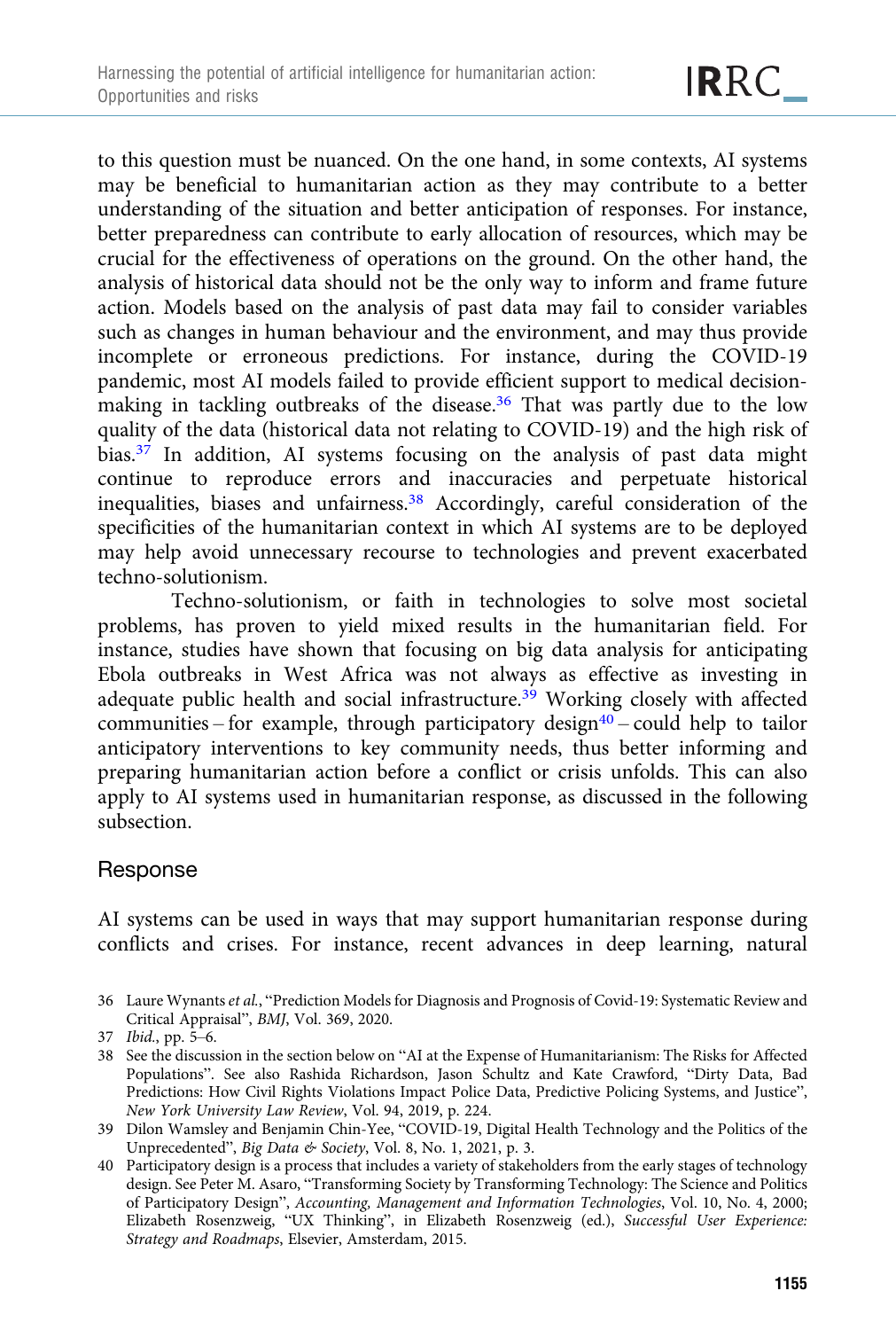to this question must be nuanced. On the one hand, in some contexts, AI systems may be beneficial to humanitarian action as they may contribute to a better understanding of the situation and better anticipation of responses. For instance, better preparedness can contribute to early allocation of resources, which may be crucial for the effectiveness of operations on the ground. On the other hand, the analysis of historical data should not be the only way to inform and frame future action. Models based on the analysis of past data may fail to consider variables such as changes in human behaviour and the environment, and may thus provide incomplete or erroneous predictions. For instance, during the COVID-19 pandemic, most AI models failed to provide efficient support to medical decisionmaking in tackling outbreaks of the disease.<sup>36</sup> That was partly due to the low quality of the data (historical data not relating to COVID-19) and the high risk of bias.<sup>37</sup> In addition, AI systems focusing on the analysis of past data might continue to reproduce errors and inaccuracies and perpetuate historical inequalities, biases and unfairness.38 Accordingly, careful consideration of the specificities of the humanitarian context in which AI systems are to be deployed may help avoid unnecessary recourse to technologies and prevent exacerbated techno-solutionism.

Techno-solutionism, or faith in technologies to solve most societal problems, has proven to yield mixed results in the humanitarian field. For instance, studies have shown that focusing on big data analysis for anticipating Ebola outbreaks in West Africa was not always as effective as investing in adequate public health and social infrastructure.<sup>39</sup> Working closely with affected communities – for example, through participatory design $40$  – could help to tailor anticipatory interventions to key community needs, thus better informing and preparing humanitarian action before a conflict or crisis unfolds. This can also apply to AI systems used in humanitarian response, as discussed in the following subsection.

## Response

AI systems can be used in ways that may support humanitarian response during conflicts and crises. For instance, recent advances in deep learning, natural

<sup>36</sup> Laure Wynants et al., "Prediction Models for Diagnosis and Prognosis of Covid-19: Systematic Review and Critical Appraisal", BMJ, Vol. 369, 2020.

<sup>37</sup> Ibid., pp. 5–6.

<sup>38</sup> See the discussion in the section below on "AI at the Expense of Humanitarianism: The Risks for Affected Populations". See also Rashida Richardson, Jason Schultz and Kate Crawford, "Dirty Data, Bad Predictions: How Civil Rights Violations Impact Police Data, Predictive Policing Systems, and Justice", New York University Law Review, Vol. 94, 2019, p. 224.

<sup>39</sup> Dilon Wamsley and Benjamin Chin-Yee, "COVID-19, Digital Health Technology and the Politics of the Unprecedented", Big Data & Society, Vol. 8, No. 1, 2021, p. 3.

<sup>40</sup> Participatory design is a process that includes a variety of stakeholders from the early stages of technology design. See Peter M. Asaro, "Transforming Society by Transforming Technology: The Science and Politics of Participatory Design", Accounting, Management and Information Technologies, Vol. 10, No. 4, 2000; Elizabeth Rosenzweig, "UX Thinking", in Elizabeth Rosenzweig (ed.), Successful User Experience: Strategy and Roadmaps, Elsevier, Amsterdam, 2015.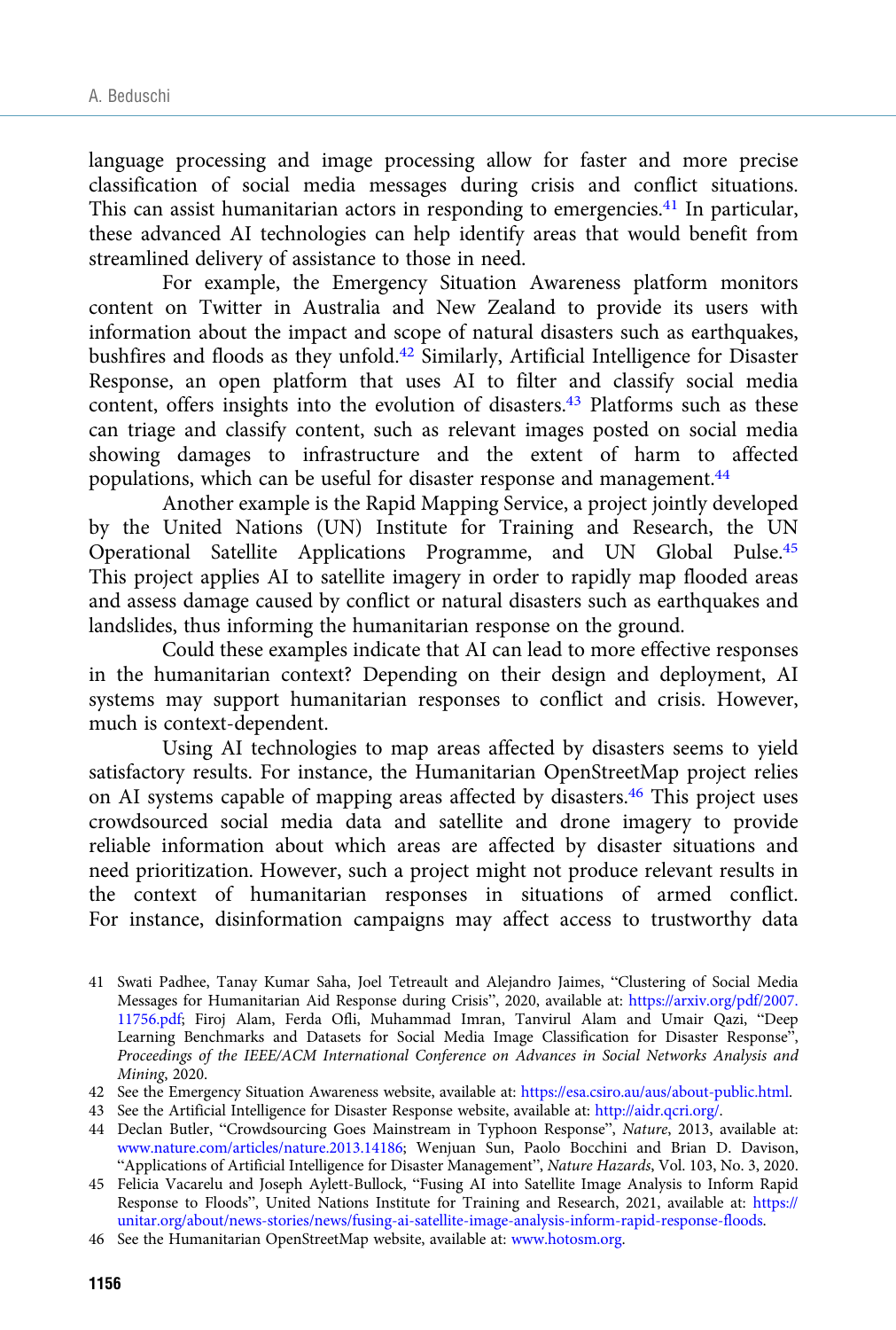language processing and image processing allow for faster and more precise classification of social media messages during crisis and conflict situations. This can assist humanitarian actors in responding to emergencies.<sup>41</sup> In particular, these advanced AI technologies can help identify areas that would benefit from streamlined delivery of assistance to those in need.

For example, the Emergency Situation Awareness platform monitors content on Twitter in Australia and New Zealand to provide its users with information about the impact and scope of natural disasters such as earthquakes, bushfires and floods as they unfold.42 Similarly, Artificial Intelligence for Disaster Response, an open platform that uses AI to filter and classify social media content, offers insights into the evolution of disasters.<sup>43</sup> Platforms such as these can triage and classify content, such as relevant images posted on social media showing damages to infrastructure and the extent of harm to affected populations, which can be useful for disaster response and management.<sup>44</sup>

Another example is the Rapid Mapping Service, a project jointly developed by the United Nations (UN) Institute for Training and Research, the UN Operational Satellite Applications Programme, and UN Global Pulse.45 This project applies AI to satellite imagery in order to rapidly map flooded areas and assess damage caused by conflict or natural disasters such as earthquakes and landslides, thus informing the humanitarian response on the ground.

Could these examples indicate that AI can lead to more effective responses in the humanitarian context? Depending on their design and deployment, AI systems may support humanitarian responses to conflict and crisis. However, much is context-dependent.

Using AI technologies to map areas affected by disasters seems to yield satisfactory results. For instance, the Humanitarian OpenStreetMap project relies on AI systems capable of mapping areas affected by disasters.<sup>46</sup> This project uses crowdsourced social media data and satellite and drone imagery to provide reliable information about which areas are affected by disaster situations and need prioritization. However, such a project might not produce relevant results in the context of humanitarian responses in situations of armed conflict. For instance, disinformation campaigns may affect access to trustworthy data

<sup>41</sup> Swati Padhee, Tanay Kumar Saha, Joel Tetreault and Alejandro Jaimes, "Clustering of Social Media Messages for Humanitarian Aid Response during Crisis", 2020, available at: [https://arxiv.org/pdf/2007.](https://arxiv.org/pdf/2007.11756.pdf) [11756.pdf;](https://arxiv.org/pdf/2007.11756.pdf) Firoj Alam, Ferda Ofli, Muhammad Imran, Tanvirul Alam and Umair Qazi, "Deep Learning Benchmarks and Datasets for Social Media Image Classification for Disaster Response", Proceedings of the IEEE/ACM International Conference on Advances in Social Networks Analysis and Mining, 2020.

<sup>42</sup> See the Emergency Situation Awareness website, available at: [https://esa.csiro.au/aus/about-public.html.](https://esa.csiro.au/aus/about-public.html)

<sup>43</sup> See the Artificial Intelligence for Disaster Response website, available at: [http://aidr.qcri.org/.](http://aidr.qcri.org/)

<sup>44</sup> Declan Butler, "Crowdsourcing Goes Mainstream in Typhoon Response", Nature, 2013, available at: [www.nature.com/articles/nature.2013.14186;](https://www.nature.com/articles/nature.2013.14186) Wenjuan Sun, Paolo Bocchini and Brian D. Davison, "Applications of Artificial Intelligence for Disaster Management", Nature Hazards, Vol. 103, No. 3, 2020.

<sup>45</sup> Felicia Vacarelu and Joseph Aylett-Bullock, "Fusing AI into Satellite Image Analysis to Inform Rapid Response to Floods", United Nations Institute for Training and Research, 2021, available at: [https://](https://unitar.org/about/news-stories/news/fusing-ai-satellite-image-analysis-inform-rapid-response-floods) [unitar.org/about/news-stories/news/fusing-ai-satellite-image-analysis-inform-rapid-response-floods](https://unitar.org/about/news-stories/news/fusing-ai-satellite-image-analysis-inform-rapid-response-floods).

<sup>46</sup> See the Humanitarian OpenStreetMap website, available at: [www.hotosm.org.](https://www.hotosm.org)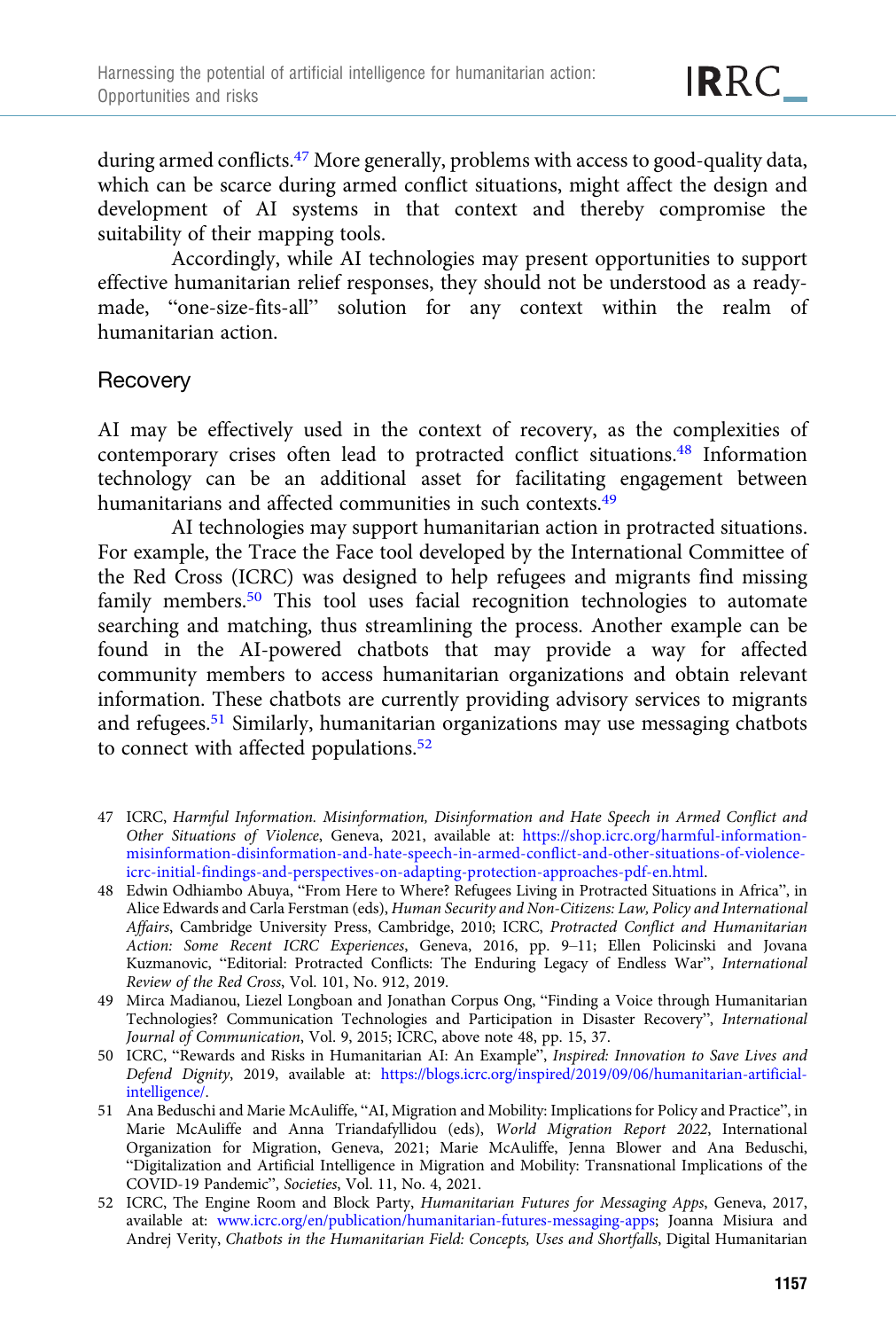during armed conflicts.47 More generally, problems with access to good-quality data, which can be scarce during armed conflict situations, might affect the design and development of AI systems in that context and thereby compromise the suitability of their mapping tools.

Accordingly, while AI technologies may present opportunities to support effective humanitarian relief responses, they should not be understood as a readymade, "one-size-fits-all" solution for any context within the realm of humanitarian action.

## **Recovery**

AI may be effectively used in the context of recovery, as the complexities of contemporary crises often lead to protracted conflict situations.48 Information technology can be an additional asset for facilitating engagement between humanitarians and affected communities in such contexts.<sup>49</sup>

AI technologies may support humanitarian action in protracted situations. For example, the Trace the Face tool developed by the International Committee of the Red Cross (ICRC) was designed to help refugees and migrants find missing family members.<sup>50</sup> This tool uses facial recognition technologies to automate searching and matching, thus streamlining the process. Another example can be found in the AI-powered chatbots that may provide a way for affected community members to access humanitarian organizations and obtain relevant information. These chatbots are currently providing advisory services to migrants and refugees.51 Similarly, humanitarian organizations may use messaging chatbots to connect with affected populations.<sup>52</sup>

- 47 ICRC, Harmful Information. Misinformation, Disinformation and Hate Speech in Armed Conflict and Other Situations of Violence, Geneva, 2021, available at: [https://shop.icrc.org/harmful-information](https://shop.icrc.org/harmful-information-misinformation-disinformation-and-hate-speech-in-armed-conflict-and-other-situations-of-violence-icrc-initial-findings-and-perspectives-on-adapting-protection-approaches-pdf-en.html)[misinformation-disinformation-and-hate-speech-in-armed-conflict-and-other-situations-of-violence](https://shop.icrc.org/harmful-information-misinformation-disinformation-and-hate-speech-in-armed-conflict-and-other-situations-of-violence-icrc-initial-findings-and-perspectives-on-adapting-protection-approaches-pdf-en.html)[icrc-initial-findings-and-perspectives-on-adapting-protection-approaches-pdf-en.html](https://shop.icrc.org/harmful-information-misinformation-disinformation-and-hate-speech-in-armed-conflict-and-other-situations-of-violence-icrc-initial-findings-and-perspectives-on-adapting-protection-approaches-pdf-en.html).
- 48 Edwin Odhiambo Abuya, "From Here to Where? Refugees Living in Protracted Situations in Africa", in Alice Edwards and Carla Ferstman (eds), Human Security and Non-Citizens: Law, Policy and International Affairs, Cambridge University Press, Cambridge, 2010; ICRC, Protracted Conflict and Humanitarian Action: Some Recent ICRC Experiences, Geneva, 2016, pp. 9–11; Ellen Policinski and Jovana Kuzmanovic, "Editorial: Protracted Conflicts: The Enduring Legacy of Endless War", International Review of the Red Cross, Vol. 101, No. 912, 2019.
- 49 Mirca Madianou, Liezel Longboan and Jonathan Corpus Ong, "Finding a Voice through Humanitarian Technologies? Communication Technologies and Participation in Disaster Recovery", International Journal of Communication, Vol. 9, 2015; ICRC, above note 48, pp. 15, 37.
- 50 ICRC, "Rewards and Risks in Humanitarian AI: An Example", Inspired: Innovation to Save Lives and Defend Dignity, 2019, available at: [https://blogs.icrc.org/inspired/2019/09/06/humanitarian-artificial](https://blogs.icrc.org/inspired/2019/09/06/humanitarian-artificial-intelligence/)[intelligence/.](https://blogs.icrc.org/inspired/2019/09/06/humanitarian-artificial-intelligence/)
- 51 Ana Beduschi and Marie McAuliffe, "AI, Migration and Mobility: Implications for Policy and Practice", in Marie McAuliffe and Anna Triandafyllidou (eds), World Migration Report 2022, International Organization for Migration, Geneva, 2021; Marie McAuliffe, Jenna Blower and Ana Beduschi, "Digitalization and Artificial Intelligence in Migration and Mobility: Transnational Implications of the COVID-19 Pandemic", Societies, Vol. 11, No. 4, 2021.
- 52 ICRC, The Engine Room and Block Party, Humanitarian Futures for Messaging Apps, Geneva, 2017, available at: [www.icrc.org/en/publication/humanitarian-futures-messaging-apps](https://www.icrc.org/en/publication/humanitarian-futures-messaging-apps); Joanna Misiura and Andrej Verity, Chatbots in the Humanitarian Field: Concepts, Uses and Shortfalls, Digital Humanitarian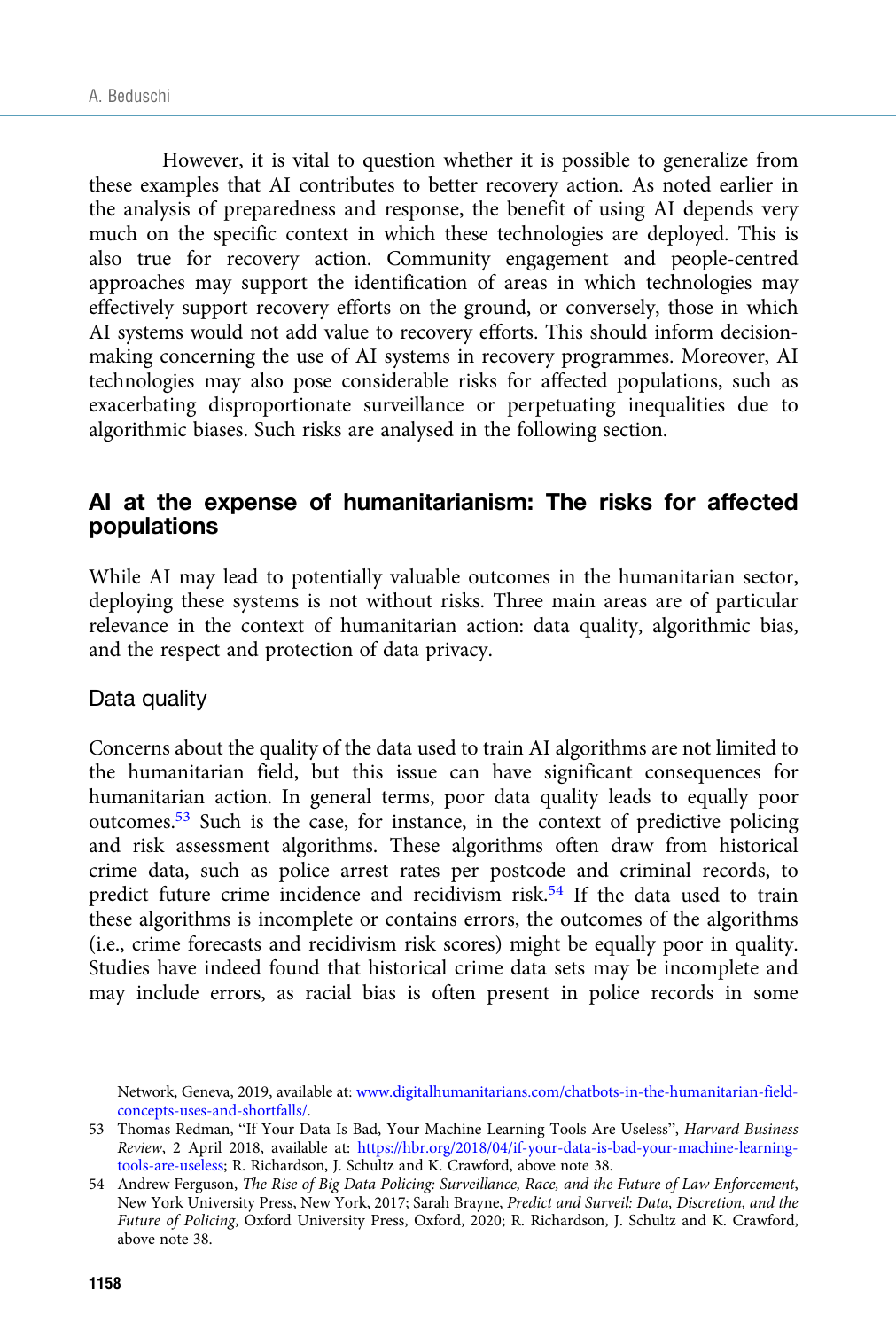However, it is vital to question whether it is possible to generalize from these examples that AI contributes to better recovery action. As noted earlier in the analysis of preparedness and response, the benefit of using AI depends very much on the specific context in which these technologies are deployed. This is also true for recovery action. Community engagement and people-centred approaches may support the identification of areas in which technologies may effectively support recovery efforts on the ground, or conversely, those in which AI systems would not add value to recovery efforts. This should inform decisionmaking concerning the use of AI systems in recovery programmes. Moreover, AI technologies may also pose considerable risks for affected populations, such as exacerbating disproportionate surveillance or perpetuating inequalities due to algorithmic biases. Such risks are analysed in the following section.

# AI at the expense of humanitarianism: The risks for affected populations

While AI may lead to potentially valuable outcomes in the humanitarian sector, deploying these systems is not without risks. Three main areas are of particular relevance in the context of humanitarian action: data quality, algorithmic bias, and the respect and protection of data privacy.

## Data quality

Concerns about the quality of the data used to train AI algorithms are not limited to the humanitarian field, but this issue can have significant consequences for humanitarian action. In general terms, poor data quality leads to equally poor outcomes.53 Such is the case, for instance, in the context of predictive policing and risk assessment algorithms. These algorithms often draw from historical crime data, such as police arrest rates per postcode and criminal records, to predict future crime incidence and recidivism risk.54 If the data used to train these algorithms is incomplete or contains errors, the outcomes of the algorithms (i.e., crime forecasts and recidivism risk scores) might be equally poor in quality. Studies have indeed found that historical crime data sets may be incomplete and may include errors, as racial bias is often present in police records in some

Network, Geneva, 2019, available at: [www.digitalhumanitarians.com/chatbots-in-the-humanitarian-field](https://www.digitalhumanitarians.com/chatbots-in-the-humanitarian-field-concepts-uses-and-shortfalls/)[concepts-uses-and-shortfalls/.](https://www.digitalhumanitarians.com/chatbots-in-the-humanitarian-field-concepts-uses-and-shortfalls/)

<sup>53</sup> Thomas Redman, "If Your Data Is Bad, Your Machine Learning Tools Are Useless", Harvard Business Review, 2 April 2018, available at: [https://hbr.org/2018/04/if-your-data-is-bad-your-machine-learning](https://hbr.org/2018/04/if-your-data-is-bad-your-machine-learning-tools-are-useless)[tools-are-useless;](https://hbr.org/2018/04/if-your-data-is-bad-your-machine-learning-tools-are-useless) R. Richardson, J. Schultz and K. Crawford, above note 38.

<sup>54</sup> Andrew Ferguson, The Rise of Big Data Policing: Surveillance, Race, and the Future of Law Enforcement, New York University Press, New York, 2017; Sarah Brayne, Predict and Surveil: Data, Discretion, and the Future of Policing, Oxford University Press, Oxford, 2020; R. Richardson, J. Schultz and K. Crawford, above note 38.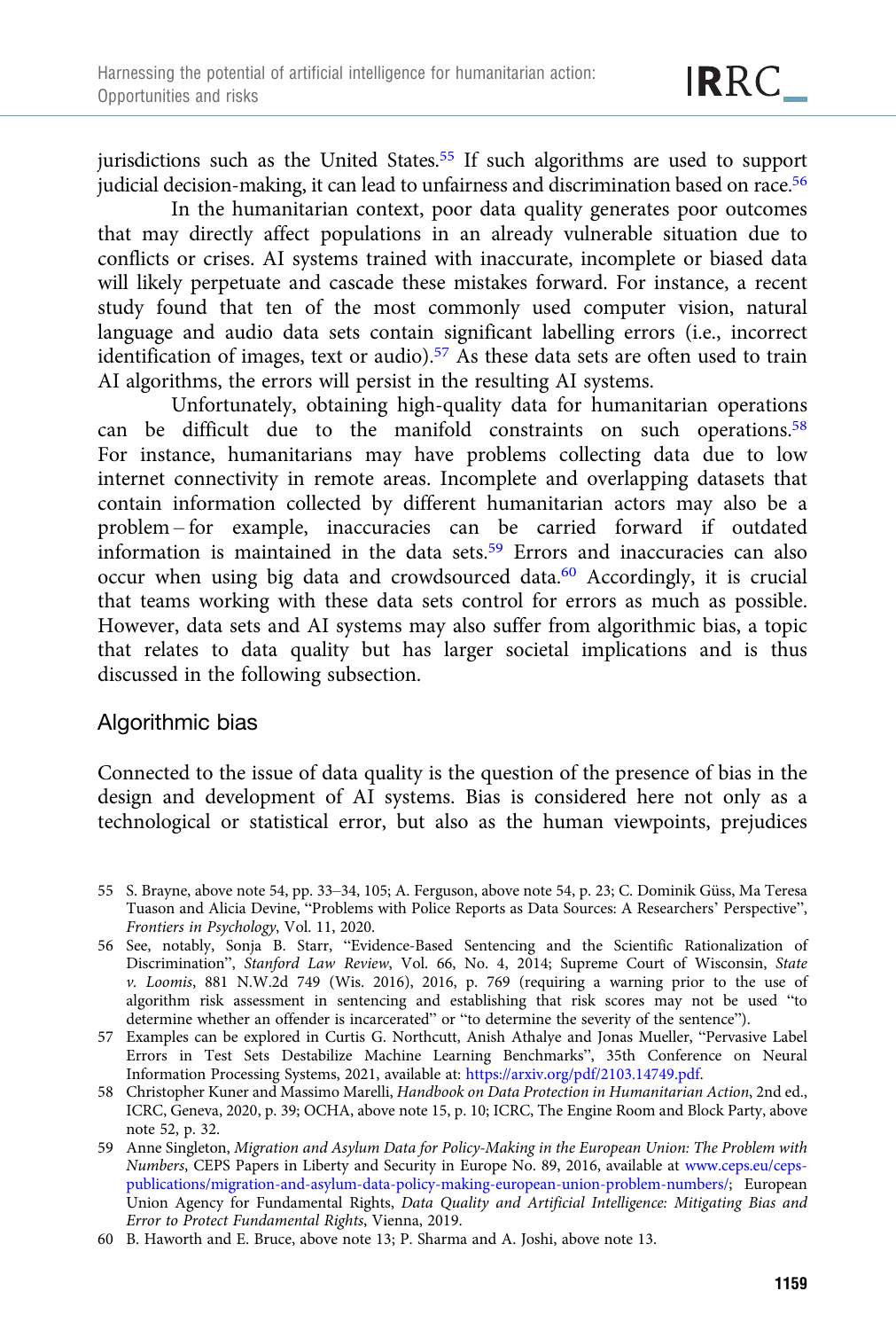jurisdictions such as the United States.<sup>55</sup> If such algorithms are used to support judicial decision-making, it can lead to unfairness and discrimination based on race.<sup>56</sup>

In the humanitarian context, poor data quality generates poor outcomes that may directly affect populations in an already vulnerable situation due to conflicts or crises. AI systems trained with inaccurate, incomplete or biased data will likely perpetuate and cascade these mistakes forward. For instance, a recent study found that ten of the most commonly used computer vision, natural language and audio data sets contain significant labelling errors (i.e., incorrect identification of images, text or audio).<sup>57</sup> As these data sets are often used to train AI algorithms, the errors will persist in the resulting AI systems.

Unfortunately, obtaining high-quality data for humanitarian operations can be difficult due to the manifold constraints on such operations.58 For instance, humanitarians may have problems collecting data due to low internet connectivity in remote areas. Incomplete and overlapping datasets that contain information collected by different humanitarian actors may also be a problem – for example, inaccuracies can be carried forward if outdated information is maintained in the data sets.59 Errors and inaccuracies can also occur when using big data and crowdsourced data.<sup>60</sup> Accordingly, it is crucial that teams working with these data sets control for errors as much as possible. However, data sets and AI systems may also suffer from algorithmic bias, a topic that relates to data quality but has larger societal implications and is thus discussed in the following subsection.

## Algorithmic bias

Connected to the issue of data quality is the question of the presence of bias in the design and development of AI systems. Bias is considered here not only as a technological or statistical error, but also as the human viewpoints, prejudices

- 55 S. Brayne, above note 54, pp. 33–34, 105; A. Ferguson, above note 54, p. 23; C. Dominik Güss, Ma Teresa Tuason and Alicia Devine, "Problems with Police Reports as Data Sources: A Researchers' Perspective", Frontiers in Psychology, Vol. 11, 2020.
- 56 See, notably, Sonja B. Starr, "Evidence-Based Sentencing and the Scientific Rationalization of Discrimination", Stanford Law Review, Vol. 66, No. 4, 2014; Supreme Court of Wisconsin, State v. Loomis, 881 N.W.2d 749 (Wis. 2016), 2016, p. 769 (requiring a warning prior to the use of algorithm risk assessment in sentencing and establishing that risk scores may not be used "to determine whether an offender is incarcerated" or "to determine the severity of the sentence").
- 57 Examples can be explored in Curtis G. Northcutt, Anish Athalye and Jonas Mueller, "Pervasive Label Errors in Test Sets Destabilize Machine Learning Benchmarks", 35th Conference on Neural Information Processing Systems, 2021, available at: <https://arxiv.org/pdf/2103.14749.pdf>.
- 58 Christopher Kuner and Massimo Marelli, Handbook on Data Protection in Humanitarian Action, 2nd ed., ICRC, Geneva, 2020, p. 39; OCHA, above note 15, p. 10; ICRC, The Engine Room and Block Party, above note 52, p. 32.
- 59 Anne Singleton, Migration and Asylum Data for Policy-Making in the European Union: The Problem with Numbers, CEPS Papers in Liberty and Security in Europe No. 89, 2016, available at [www.ceps.eu/ceps](https://www.ceps.eu/ceps-publications/migration-and-asylum-data-policy-making-european-union-problem-numbers/)[publications/migration-and-asylum-data-policy-making-european-union-problem-numbers/](https://www.ceps.eu/ceps-publications/migration-and-asylum-data-policy-making-european-union-problem-numbers/); European Union Agency for Fundamental Rights, Data Quality and Artificial Intelligence: Mitigating Bias and Error to Protect Fundamental Rights, Vienna, 2019.
- 60 B. Haworth and E. Bruce, above note 13; P. Sharma and A. Joshi, above note 13.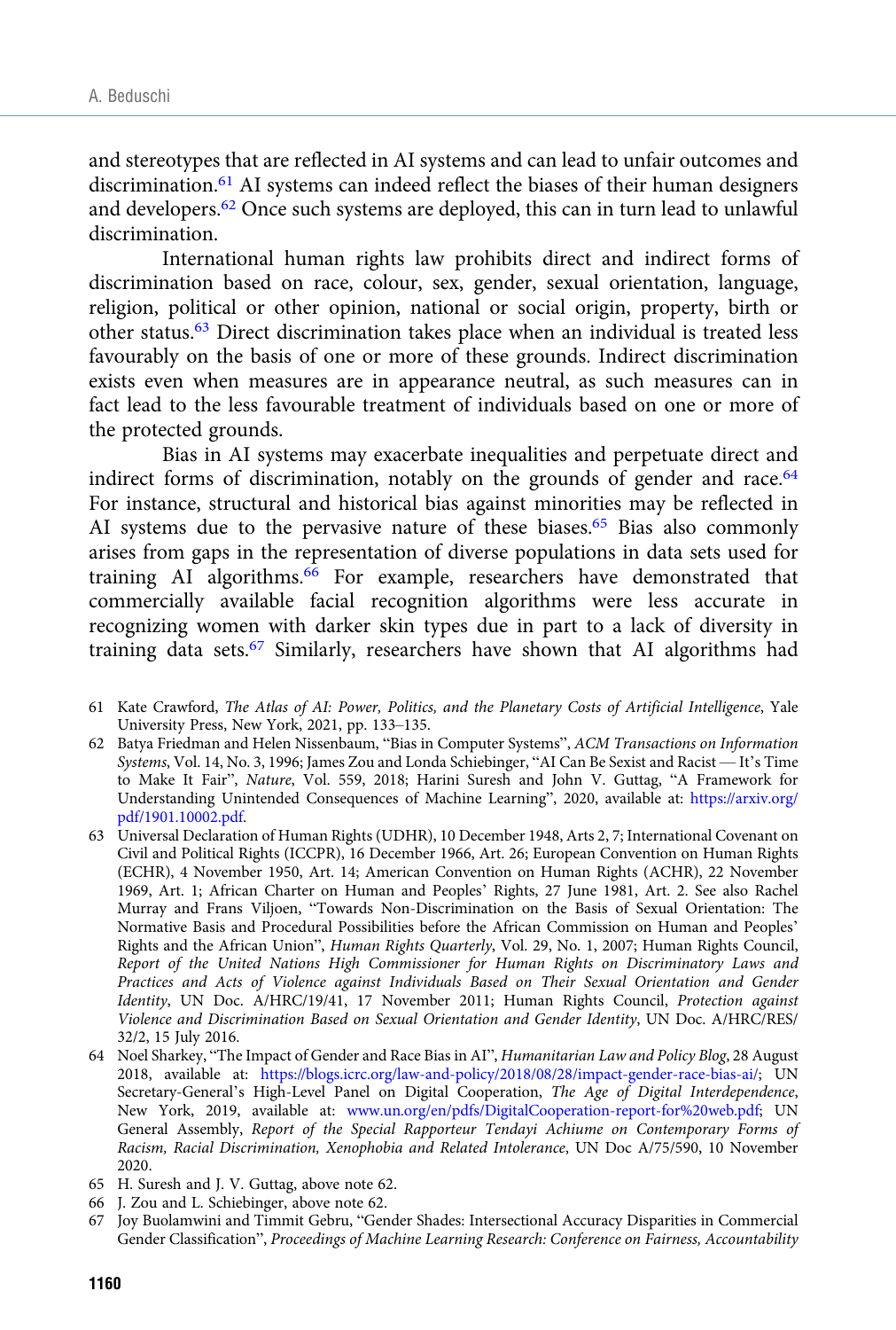and stereotypes that are reflected in AI systems and can lead to unfair outcomes and discrimination.<sup>61</sup> AI systems can indeed reflect the biases of their human designers and developers.62 Once such systems are deployed, this can in turn lead to unlawful discrimination.

International human rights law prohibits direct and indirect forms of discrimination based on race, colour, sex, gender, sexual orientation, language, religion, political or other opinion, national or social origin, property, birth or other status.63 Direct discrimination takes place when an individual is treated less favourably on the basis of one or more of these grounds. Indirect discrimination exists even when measures are in appearance neutral, as such measures can in fact lead to the less favourable treatment of individuals based on one or more of the protected grounds.

Bias in AI systems may exacerbate inequalities and perpetuate direct and indirect forms of discrimination, notably on the grounds of gender and race.<sup>64</sup> For instance, structural and historical bias against minorities may be reflected in AI systems due to the pervasive nature of these biases.<sup>65</sup> Bias also commonly arises from gaps in the representation of diverse populations in data sets used for training AI algorithms.<sup>66</sup> For example, researchers have demonstrated that commercially available facial recognition algorithms were less accurate in recognizing women with darker skin types due in part to a lack of diversity in training data sets.67 Similarly, researchers have shown that AI algorithms had

- 61 Kate Crawford, The Atlas of AI: Power, Politics, and the Planetary Costs of Artificial Intelligence, Yale University Press, New York, 2021, pp. 133–135.
- 62 Batya Friedman and Helen Nissenbaum, "Bias in Computer Systems", ACM Transactions on Information Systems, Vol. 14, No. 3, 1996; James Zou and Londa Schiebinger, "AI Can Be Sexist and Racist — It's Time to Make It Fair", Nature, Vol. 559, 2018; Harini Suresh and John V. Guttag, "A Framework for Understanding Unintended Consequences of Machine Learning", 2020, available at: [https://arxiv.org/](https://arxiv.org/pdf/1901.10002.pdf) [pdf/1901.10002.pdf](https://arxiv.org/pdf/1901.10002.pdf).
- 63 Universal Declaration of Human Rights (UDHR), 10 December 1948, Arts 2, 7; International Covenant on Civil and Political Rights (ICCPR), 16 December 1966, Art. 26; European Convention on Human Rights (ECHR), 4 November 1950, Art. 14; American Convention on Human Rights (ACHR), 22 November 1969, Art. 1; African Charter on Human and Peoples' Rights, 27 June 1981, Art. 2. See also Rachel Murray and Frans Viljoen, "Towards Non-Discrimination on the Basis of Sexual Orientation: The Normative Basis and Procedural Possibilities before the African Commission on Human and Peoples' Rights and the African Union", Human Rights Quarterly, Vol. 29, No. 1, 2007; Human Rights Council, Report of the United Nations High Commissioner for Human Rights on Discriminatory Laws and Practices and Acts of Violence against Individuals Based on Their Sexual Orientation and Gender Identity, UN Doc. A/HRC/19/41, 17 November 2011; Human Rights Council, Protection against Violence and Discrimination Based on Sexual Orientation and Gender Identity, UN Doc. A/HRC/RES/ 32/2, 15 July 2016.
- 64 Noel Sharkey, "The Impact of Gender and Race Bias in AI", Humanitarian Law and Policy Blog, 28 August 2018, available at: [https://blogs.icrc.org/law-and-policy/2018/08/28/impact-gender-race-bias-ai/;](https://blogs.icrc.org/law-and-policy/2018/08/28/impact-gender-race-bias-ai/) UN Secretary-General's High-Level Panel on Digital Cooperation, The Age of Digital Interdependence, New York, 2019, available at: [www.un.org/en/pdfs/DigitalCooperation-report-for%20web.pdf](https://www.un.org/en/pdfs/DigitalCooperation-report-for%20web.pdf); UN General Assembly, Report of the Special Rapporteur Tendayi Achiume on Contemporary Forms of Racism, Racial Discrimination, Xenophobia and Related Intolerance, UN Doc A/75/590, 10 November 2020.
- 65 H. Suresh and J. V. Guttag, above note 62.
- 66 J. Zou and L. Schiebinger, above note 62.
- 67 Joy Buolamwini and Timmit Gebru, "Gender Shades: Intersectional Accuracy Disparities in Commercial Gender Classification", Proceedings of Machine Learning Research: Conference on Fairness, Accountability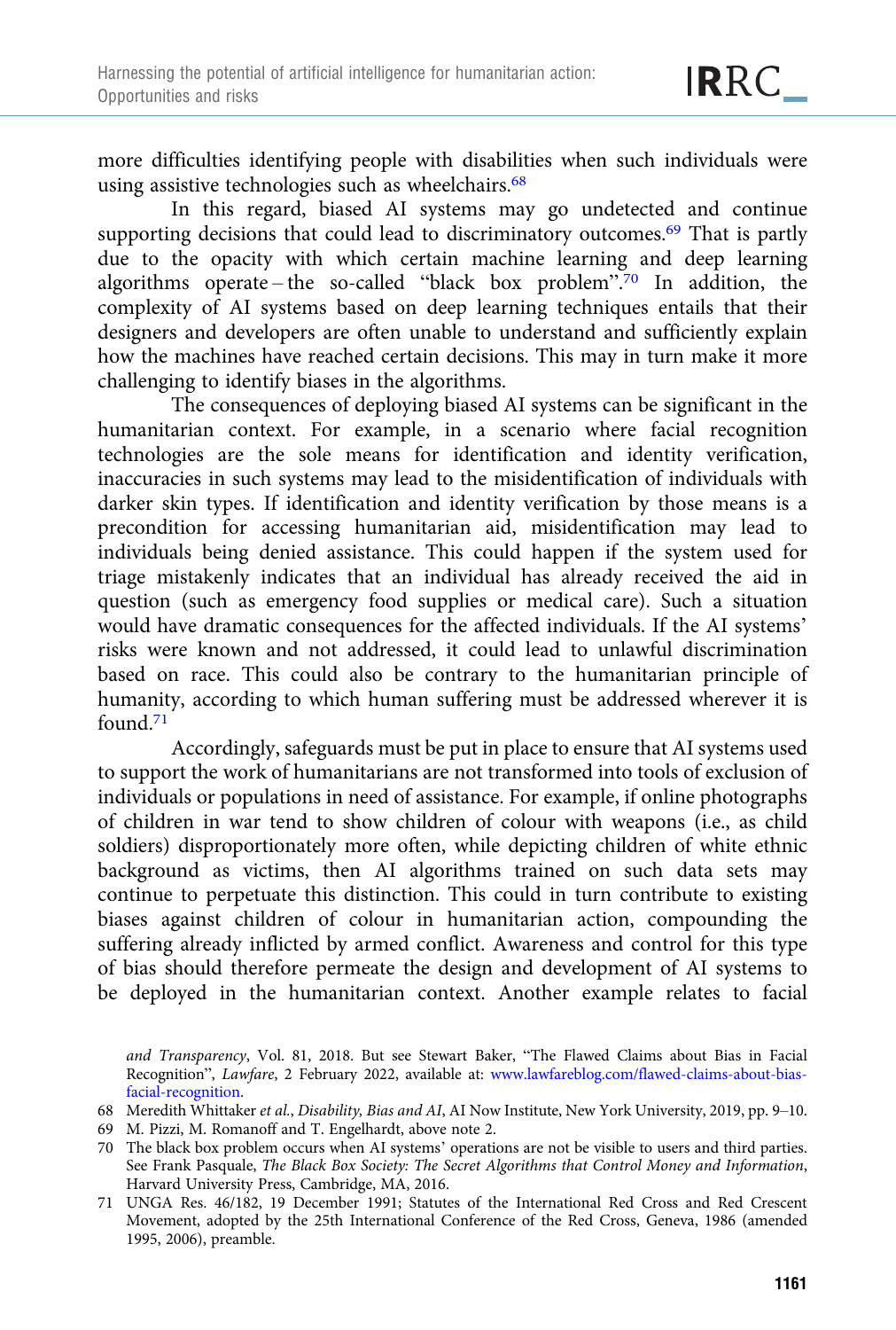more difficulties identifying people with disabilities when such individuals were using assistive technologies such as wheelchairs.<sup>68</sup>

In this regard, biased AI systems may go undetected and continue supporting decisions that could lead to discriminatory outcomes.<sup>69</sup> That is partly due to the opacity with which certain machine learning and deep learning algorithms operate-the so-called "black box problem".<sup>70</sup> In addition, the complexity of AI systems based on deep learning techniques entails that their designers and developers are often unable to understand and sufficiently explain how the machines have reached certain decisions. This may in turn make it more challenging to identify biases in the algorithms.

The consequences of deploying biased AI systems can be significant in the humanitarian context. For example, in a scenario where facial recognition technologies are the sole means for identification and identity verification, inaccuracies in such systems may lead to the misidentification of individuals with darker skin types. If identification and identity verification by those means is a precondition for accessing humanitarian aid, misidentification may lead to individuals being denied assistance. This could happen if the system used for triage mistakenly indicates that an individual has already received the aid in question (such as emergency food supplies or medical care). Such a situation would have dramatic consequences for the affected individuals. If the AI systems' risks were known and not addressed, it could lead to unlawful discrimination based on race. This could also be contrary to the humanitarian principle of humanity, according to which human suffering must be addressed wherever it is found.71

Accordingly, safeguards must be put in place to ensure that AI systems used to support the work of humanitarians are not transformed into tools of exclusion of individuals or populations in need of assistance. For example, if online photographs of children in war tend to show children of colour with weapons (i.e., as child soldiers) disproportionately more often, while depicting children of white ethnic background as victims, then AI algorithms trained on such data sets may continue to perpetuate this distinction. This could in turn contribute to existing biases against children of colour in humanitarian action, compounding the suffering already inflicted by armed conflict. Awareness and control for this type of bias should therefore permeate the design and development of AI systems to be deployed in the humanitarian context. Another example relates to facial

69 M. Pizzi, M. Romanoff and T. Engelhardt, above note 2.

and Transparency, Vol. 81, 2018. But see Stewart Baker, "The Flawed Claims about Bias in Facial Recognition", Lawfare, 2 February 2022, available at: [www.lawfareblog.com/flawed-claims-about-bias](https://www.lawfareblog.com/flawed-claims-about-bias-facial-recognition)[facial-recognition.](https://www.lawfareblog.com/flawed-claims-about-bias-facial-recognition)

<sup>68</sup> Meredith Whittaker et al., Disability, Bias and AI, AI Now Institute, New York University, 2019, pp. 9–10.

<sup>70</sup> The black box problem occurs when AI systems' operations are not be visible to users and third parties. See Frank Pasquale, The Black Box Society: The Secret Algorithms that Control Money and Information, Harvard University Press, Cambridge, MA, 2016.

<sup>71</sup> UNGA Res. 46/182, 19 December 1991; Statutes of the International Red Cross and Red Crescent Movement, adopted by the 25th International Conference of the Red Cross, Geneva, 1986 (amended 1995, 2006), preamble.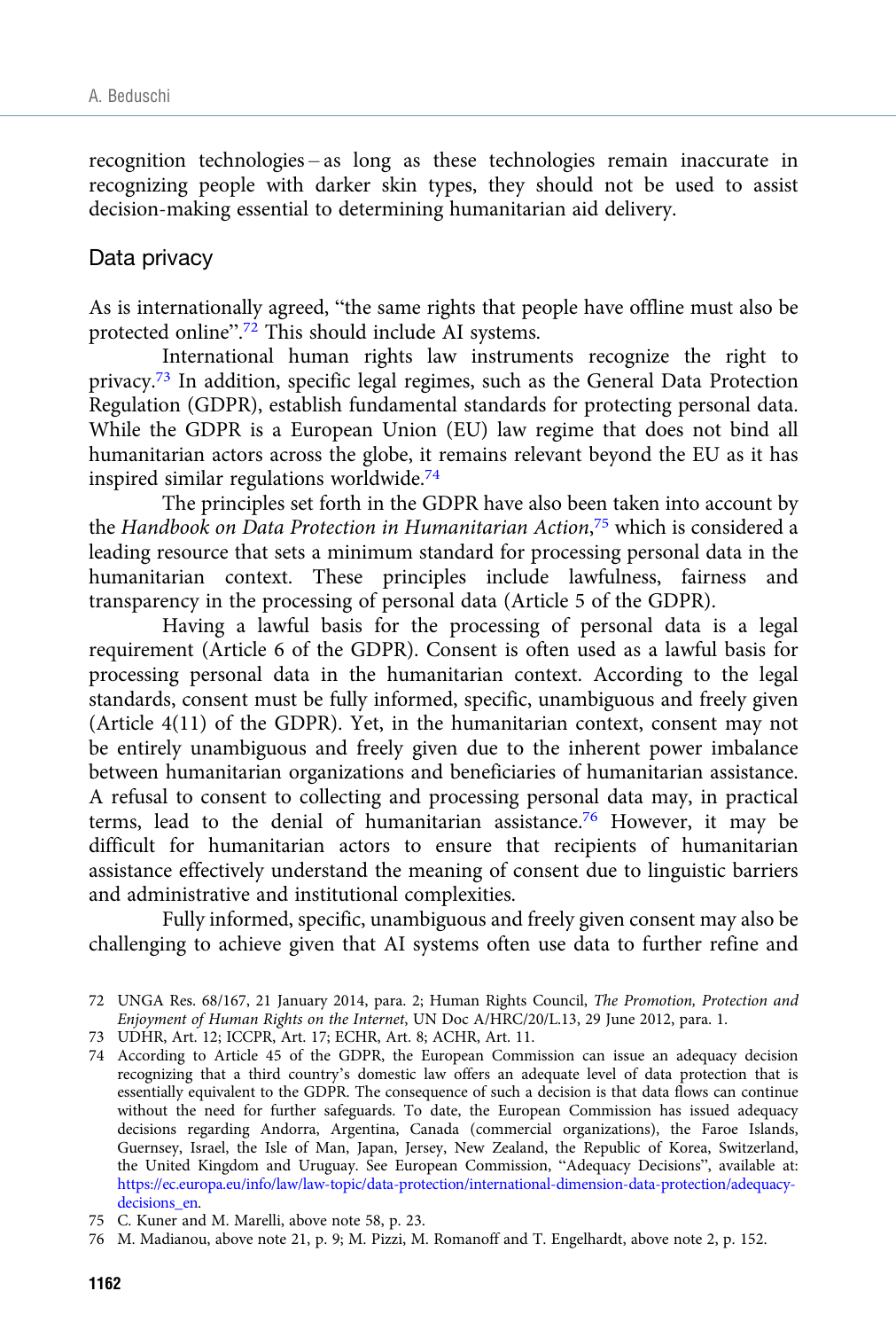recognition technologies – as long as these technologies remain inaccurate in recognizing people with darker skin types, they should not be used to assist decision-making essential to determining humanitarian aid delivery.

## Data privacy

As is internationally agreed, "the same rights that people have offline must also be protected online".<sup>72</sup> This should include AI systems.

International human rights law instruments recognize the right to privacy.73 In addition, specific legal regimes, such as the General Data Protection Regulation (GDPR), establish fundamental standards for protecting personal data. While the GDPR is a European Union (EU) law regime that does not bind all humanitarian actors across the globe, it remains relevant beyond the EU as it has inspired similar regulations worldwide. $74$ 

The principles set forth in the GDPR have also been taken into account by the Handbook on Data Protection in Humanitarian Action,<sup>75</sup> which is considered a leading resource that sets a minimum standard for processing personal data in the humanitarian context. These principles include lawfulness, fairness and transparency in the processing of personal data (Article 5 of the GDPR).

Having a lawful basis for the processing of personal data is a legal requirement (Article 6 of the GDPR). Consent is often used as a lawful basis for processing personal data in the humanitarian context. According to the legal standards, consent must be fully informed, specific, unambiguous and freely given (Article 4(11) of the GDPR). Yet, in the humanitarian context, consent may not be entirely unambiguous and freely given due to the inherent power imbalance between humanitarian organizations and beneficiaries of humanitarian assistance. A refusal to consent to collecting and processing personal data may, in practical terms, lead to the denial of humanitarian assistance.76 However, it may be difficult for humanitarian actors to ensure that recipients of humanitarian assistance effectively understand the meaning of consent due to linguistic barriers and administrative and institutional complexities.

Fully informed, specific, unambiguous and freely given consent may also be challenging to achieve given that AI systems often use data to further refine and

<sup>72</sup> UNGA Res. 68/167, 21 January 2014, para. 2; Human Rights Council, The Promotion, Protection and Enjoyment of Human Rights on the Internet, UN Doc A/HRC/20/L.13, 29 June 2012, para. 1.

<sup>73</sup> UDHR, Art. 12; ICCPR, Art. 17; ECHR, Art. 8; ACHR, Art. 11.

<sup>74</sup> According to Article 45 of the GDPR, the European Commission can issue an adequacy decision recognizing that a third country's domestic law offers an adequate level of data protection that is essentially equivalent to the GDPR. The consequence of such a decision is that data flows can continue without the need for further safeguards. To date, the European Commission has issued adequacy decisions regarding Andorra, Argentina, Canada (commercial organizations), the Faroe Islands, Guernsey, Israel, the Isle of Man, Japan, Jersey, New Zealand, the Republic of Korea, Switzerland, the United Kingdom and Uruguay. See European Commission, "Adequacy Decisions", available at: [https://ec.europa.eu/info/law/law-topic/data-protection/international-dimension-data-protection/adequacy](https://ec.europa.eu/info/law/law-topic/data-protection/international-dimension-data-protection/adequacy-decisions_en)[decisions\\_en](https://ec.europa.eu/info/law/law-topic/data-protection/international-dimension-data-protection/adequacy-decisions_en).

<sup>75</sup> C. Kuner and M. Marelli, above note 58, p. 23.

<sup>76</sup> M. Madianou, above note 21, p. 9; M. Pizzi, M. Romanoff and T. Engelhardt, above note 2, p. 152.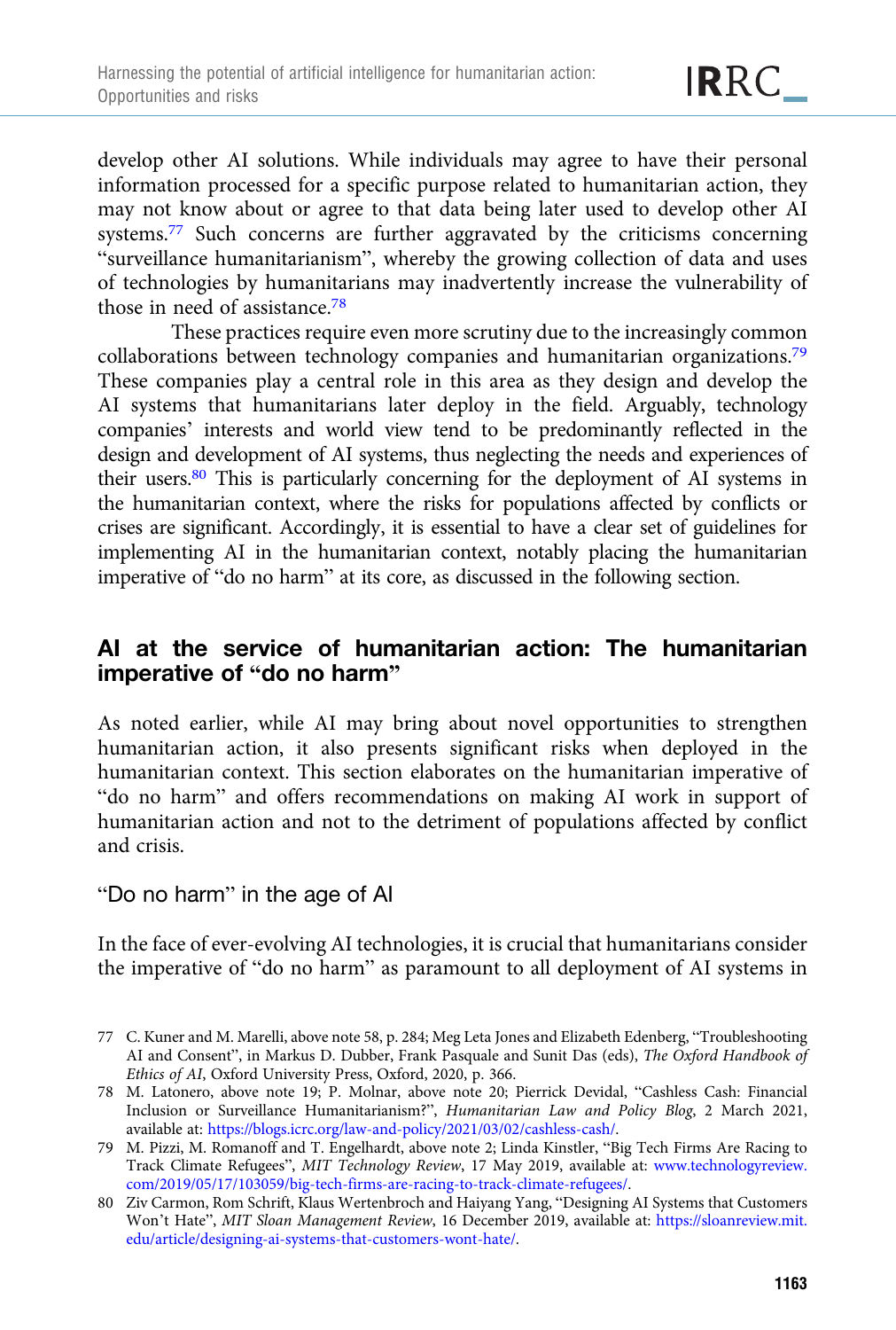develop other AI solutions. While individuals may agree to have their personal information processed for a specific purpose related to humanitarian action, they may not know about or agree to that data being later used to develop other AI systems.77 Such concerns are further aggravated by the criticisms concerning "surveillance humanitarianism", whereby the growing collection of data and uses of technologies by humanitarians may inadvertently increase the vulnerability of those in need of assistance.78

These practices require even more scrutiny due to the increasingly common collaborations between technology companies and humanitarian organizations.79 These companies play a central role in this area as they design and develop the AI systems that humanitarians later deploy in the field. Arguably, technology companies' interests and world view tend to be predominantly reflected in the design and development of AI systems, thus neglecting the needs and experiences of their users.80 This is particularly concerning for the deployment of AI systems in the humanitarian context, where the risks for populations affected by conflicts or crises are significant. Accordingly, it is essential to have a clear set of guidelines for implementing AI in the humanitarian context, notably placing the humanitarian imperative of "do no harm" at its core, as discussed in the following section.

# AI at the service of humanitarian action: The humanitarian imperative of "do no harm"

As noted earlier, while AI may bring about novel opportunities to strengthen humanitarian action, it also presents significant risks when deployed in the humanitarian context. This section elaborates on the humanitarian imperative of "do no harm" and offers recommendations on making AI work in support of humanitarian action and not to the detriment of populations affected by conflict and crisis.

## "Do no harm" in the age of AI

In the face of ever-evolving AI technologies, it is crucial that humanitarians consider the imperative of "do no harm" as paramount to all deployment of AI systems in

<sup>77</sup> C. Kuner and M. Marelli, above note 58, p. 284; Meg Leta Jones and Elizabeth Edenberg, "Troubleshooting AI and Consent", in Markus D. Dubber, Frank Pasquale and Sunit Das (eds), The Oxford Handbook of Ethics of AI, Oxford University Press, Oxford, 2020, p. 366.

<sup>78</sup> M. Latonero, above note 19; P. Molnar, above note 20; Pierrick Devidal, "Cashless Cash: Financial Inclusion or Surveillance Humanitarianism?", Humanitarian Law and Policy Blog, 2 March 2021, available at: [https://blogs.icrc.org/law-and-policy/2021/03/02/cashless-cash/.](https://blogs.icrc.org/law-and-policy/2021/03/02/cashless-cash/)

<sup>79</sup> M. Pizzi, M. Romanoff and T. Engelhardt, above note 2; Linda Kinstler, "Big Tech Firms Are Racing to Track Climate Refugees", MIT Technology Review, 17 May 2019, available at: [www.technologyreview.](https://www.technologyreview.com/2019/05/17/103059/big-tech-firms-are-racing-to-track-climate-refugees/) [com/2019/05/17/103059/big-tech-firms-are-racing-to-track-climate-refugees/.](https://www.technologyreview.com/2019/05/17/103059/big-tech-firms-are-racing-to-track-climate-refugees/)

<sup>80</sup> Ziv Carmon, Rom Schrift, Klaus Wertenbroch and Haiyang Yang, "Designing AI Systems that Customers Won't Hate", MIT Sloan Management Review, 16 December 2019, available at: [https://sloanreview.mit.](https://sloanreview.mit.edu/article/designing-ai-systems-that-customers-wont-hate/) [edu/article/designing-ai-systems-that-customers-wont-hate/.](https://sloanreview.mit.edu/article/designing-ai-systems-that-customers-wont-hate/)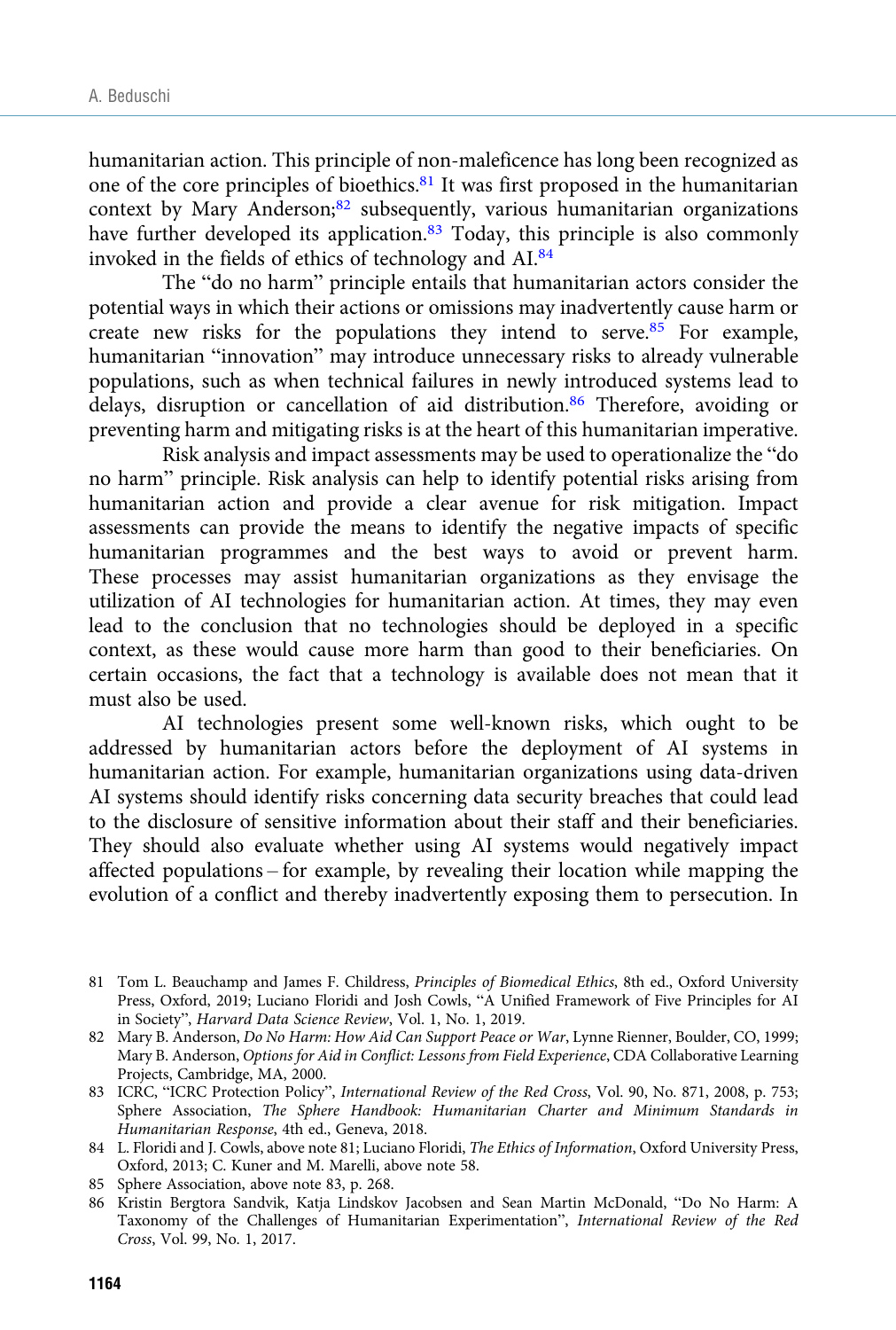humanitarian action. This principle of non-maleficence has long been recognized as one of the core principles of bioethics.81 It was first proposed in the humanitarian context by Mary Anderson;<sup>82</sup> subsequently, various humanitarian organizations have further developed its application.<sup>83</sup> Today, this principle is also commonly invoked in the fields of ethics of technology and AI.84

The "do no harm" principle entails that humanitarian actors consider the potential ways in which their actions or omissions may inadvertently cause harm or create new risks for the populations they intend to serve.<sup>85</sup> For example, humanitarian "innovation" may introduce unnecessary risks to already vulnerable populations, such as when technical failures in newly introduced systems lead to delays, disruption or cancellation of aid distribution.<sup>86</sup> Therefore, avoiding or preventing harm and mitigating risks is at the heart of this humanitarian imperative.

Risk analysis and impact assessments may be used to operationalize the "do no harm" principle. Risk analysis can help to identify potential risks arising from humanitarian action and provide a clear avenue for risk mitigation. Impact assessments can provide the means to identify the negative impacts of specific humanitarian programmes and the best ways to avoid or prevent harm. These processes may assist humanitarian organizations as they envisage the utilization of AI technologies for humanitarian action. At times, they may even lead to the conclusion that no technologies should be deployed in a specific context, as these would cause more harm than good to their beneficiaries. On certain occasions, the fact that a technology is available does not mean that it must also be used.

AI technologies present some well-known risks, which ought to be addressed by humanitarian actors before the deployment of AI systems in humanitarian action. For example, humanitarian organizations using data-driven AI systems should identify risks concerning data security breaches that could lead to the disclosure of sensitive information about their staff and their beneficiaries. They should also evaluate whether using AI systems would negatively impact affected populations – for example, by revealing their location while mapping the evolution of a conflict and thereby inadvertently exposing them to persecution. In

<sup>81</sup> Tom L. Beauchamp and James F. Childress, Principles of Biomedical Ethics, 8th ed., Oxford University Press, Oxford, 2019; Luciano Floridi and Josh Cowls, "A Unified Framework of Five Principles for AI in Society", Harvard Data Science Review, Vol. 1, No. 1, 2019.

<sup>82</sup> Mary B. Anderson, Do No Harm: How Aid Can Support Peace or War, Lynne Rienner, Boulder, CO, 1999; Mary B. Anderson, Options for Aid in Conflict: Lessons from Field Experience, CDA Collaborative Learning Projects, Cambridge, MA, 2000.

<sup>83</sup> ICRC, "ICRC Protection Policy", International Review of the Red Cross, Vol. 90, No. 871, 2008, p. 753; Sphere Association, The Sphere Handbook: Humanitarian Charter and Minimum Standards in Humanitarian Response, 4th ed., Geneva, 2018.

<sup>84</sup> L. Floridi and J. Cowls, above note 81; Luciano Floridi, The Ethics of Information, Oxford University Press, Oxford, 2013; C. Kuner and M. Marelli, above note 58.

<sup>85</sup> Sphere Association, above note 83, p. 268.

<sup>86</sup> Kristin Bergtora Sandvik, Katja Lindskov Jacobsen and Sean Martin McDonald, "Do No Harm: A Taxonomy of the Challenges of Humanitarian Experimentation", International Review of the Red Cross, Vol. 99, No. 1, 2017.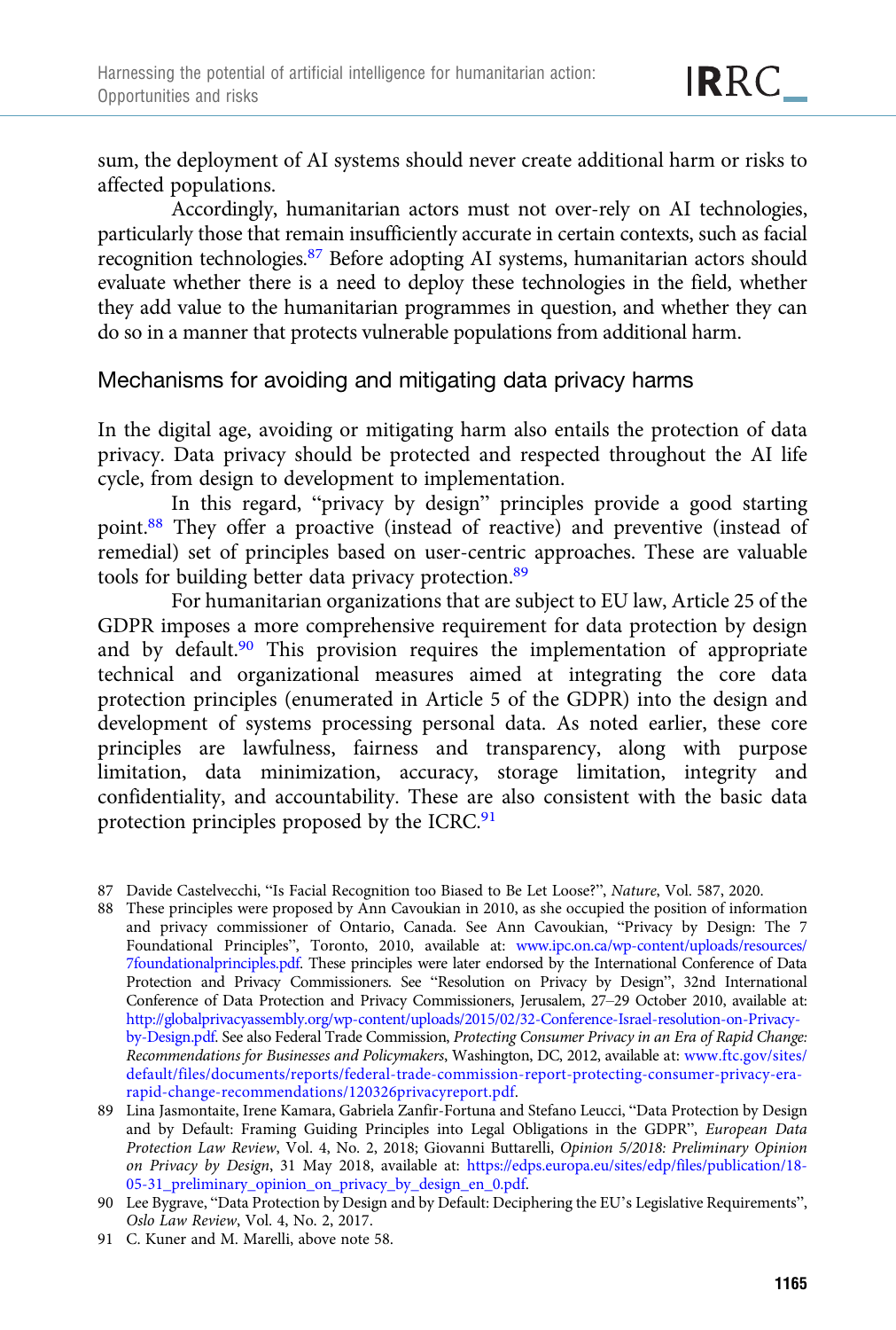sum, the deployment of AI systems should never create additional harm or risks to affected populations.

Accordingly, humanitarian actors must not over-rely on AI technologies, particularly those that remain insufficiently accurate in certain contexts, such as facial recognition technologies.87 Before adopting AI systems, humanitarian actors should evaluate whether there is a need to deploy these technologies in the field, whether they add value to the humanitarian programmes in question, and whether they can do so in a manner that protects vulnerable populations from additional harm.

## Mechanisms for avoiding and mitigating data privacy harms

In the digital age, avoiding or mitigating harm also entails the protection of data privacy. Data privacy should be protected and respected throughout the AI life cycle, from design to development to implementation.

In this regard, "privacy by design" principles provide a good starting point.88 They offer a proactive (instead of reactive) and preventive (instead of remedial) set of principles based on user-centric approaches. These are valuable tools for building better data privacy protection.<sup>89</sup>

For humanitarian organizations that are subject to EU law, Article 25 of the GDPR imposes a more comprehensive requirement for data protection by design and by default.<sup>90</sup> This provision requires the implementation of appropriate technical and organizational measures aimed at integrating the core data protection principles (enumerated in Article 5 of the GDPR) into the design and development of systems processing personal data. As noted earlier, these core principles are lawfulness, fairness and transparency, along with purpose limitation, data minimization, accuracy, storage limitation, integrity and confidentiality, and accountability. These are also consistent with the basic data protection principles proposed by the ICRC.<sup>91</sup>

- 88 These principles were proposed by Ann Cavoukian in 2010, as she occupied the position of information and privacy commissioner of Ontario, Canada. See Ann Cavoukian, "Privacy by Design: The 7 Foundational Principles", Toronto, 2010, available at: [www.ipc.on.ca/wp-content/uploads/resources/](https://www.ipc.on.ca/wp-content/uploads/resources/7foundationalprinciples.pdf) [7foundationalprinciples.pdf](https://www.ipc.on.ca/wp-content/uploads/resources/7foundationalprinciples.pdf). These principles were later endorsed by the International Conference of Data Protection and Privacy Commissioners. See "Resolution on Privacy by Design", 32nd International Conference of Data Protection and Privacy Commissioners, Jerusalem, 27–29 October 2010, available at: [http://globalprivacyassembly.org/wp-content/uploads/2015/02/32-Conference-Israel-resolution-on-Privacy](http://globalprivacyassembly.org/wp-content/uploads/2015/02/32-Conference-Israel-resolution-on-Privacy-by-Design.pdf)[by-Design.pdf](http://globalprivacyassembly.org/wp-content/uploads/2015/02/32-Conference-Israel-resolution-on-Privacy-by-Design.pdf). See also Federal Trade Commission, Protecting Consumer Privacy in an Era of Rapid Change: Recommendations for Businesses and Policymakers, Washington, DC, 2012, available at: [www.ftc.gov/sites/](https://www.ftc.gov/sites/default/files/documents/reports/federal-trade-commission-report-protecting-consumer-privacy-era-rapid-change-recommendations/120326privacyreport.pdf) [default/files/documents/reports/federal-trade-commission-report-protecting-consumer-privacy-era](https://www.ftc.gov/sites/default/files/documents/reports/federal-trade-commission-report-protecting-consumer-privacy-era-rapid-change-recommendations/120326privacyreport.pdf)[rapid-change-recommendations/120326privacyreport.pdf](https://www.ftc.gov/sites/default/files/documents/reports/federal-trade-commission-report-protecting-consumer-privacy-era-rapid-change-recommendations/120326privacyreport.pdf).
- 89 Lina Jasmontaite, Irene Kamara, Gabriela Zanfir-Fortuna and Stefano Leucci, "Data Protection by Design and by Default: Framing Guiding Principles into Legal Obligations in the GDPR", European Data Protection Law Review, Vol. 4, No. 2, 2018; Giovanni Buttarelli, Opinion 5/2018: Preliminary Opinion on Privacy by Design, 31 May 2018, available at: [https://edps.europa.eu/sites/edp/files/publication/18-](https://edps.europa.eu/sites/edp/files/publication/18-05-31_preliminary_opinion_on_privacy_by_design_en_0.pdf) [05-31\\_preliminary\\_opinion\\_on\\_privacy\\_by\\_design\\_en\\_0.pdf.](https://edps.europa.eu/sites/edp/files/publication/18-05-31_preliminary_opinion_on_privacy_by_design_en_0.pdf)
- 90 Lee Bygrave, "Data Protection by Design and by Default: Deciphering the EU's Legislative Requirements", Oslo Law Review, Vol. 4, No. 2, 2017.
- 91 C. Kuner and M. Marelli, above note 58.

<sup>87</sup> Davide Castelvecchi, "Is Facial Recognition too Biased to Be Let Loose?", Nature, Vol. 587, 2020.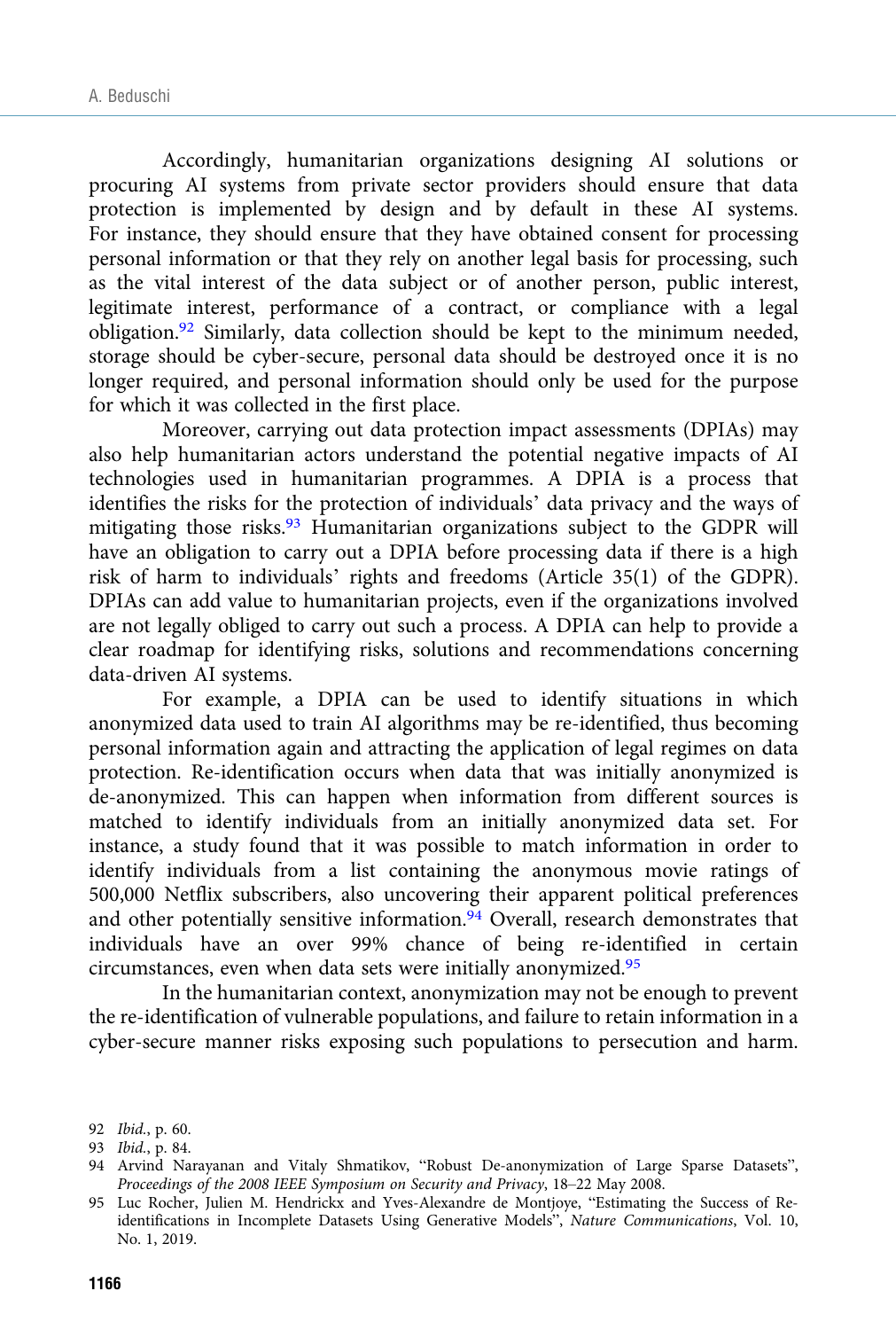Accordingly, humanitarian organizations designing AI solutions or procuring AI systems from private sector providers should ensure that data protection is implemented by design and by default in these AI systems. For instance, they should ensure that they have obtained consent for processing personal information or that they rely on another legal basis for processing, such as the vital interest of the data subject or of another person, public interest, legitimate interest, performance of a contract, or compliance with a legal obligation.92 Similarly, data collection should be kept to the minimum needed, storage should be cyber-secure, personal data should be destroyed once it is no longer required, and personal information should only be used for the purpose for which it was collected in the first place.

Moreover, carrying out data protection impact assessments (DPIAs) may also help humanitarian actors understand the potential negative impacts of AI technologies used in humanitarian programmes. A DPIA is a process that identifies the risks for the protection of individuals' data privacy and the ways of mitigating those risks.93 Humanitarian organizations subject to the GDPR will have an obligation to carry out a DPIA before processing data if there is a high risk of harm to individuals' rights and freedoms (Article 35(1) of the GDPR). DPIAs can add value to humanitarian projects, even if the organizations involved are not legally obliged to carry out such a process. A DPIA can help to provide a clear roadmap for identifying risks, solutions and recommendations concerning data-driven AI systems.

For example, a DPIA can be used to identify situations in which anonymized data used to train AI algorithms may be re-identified, thus becoming personal information again and attracting the application of legal regimes on data protection. Re-identification occurs when data that was initially anonymized is de-anonymized. This can happen when information from different sources is matched to identify individuals from an initially anonymized data set. For instance, a study found that it was possible to match information in order to identify individuals from a list containing the anonymous movie ratings of 500,000 Netflix subscribers, also uncovering their apparent political preferences and other potentially sensitive information.<sup>94</sup> Overall, research demonstrates that individuals have an over 99% chance of being re-identified in certain circumstances, even when data sets were initially anonymized.<sup>95</sup>

In the humanitarian context, anonymization may not be enough to prevent the re-identification of vulnerable populations, and failure to retain information in a cyber-secure manner risks exposing such populations to persecution and harm.

<sup>92</sup> Ibid., p. 60.

<sup>93</sup> Ibid., p. 84.

<sup>94</sup> Arvind Narayanan and Vitaly Shmatikov, "Robust De-anonymization of Large Sparse Datasets", Proceedings of the 2008 IEEE Symposium on Security and Privacy, 18–22 May 2008.

<sup>95</sup> Luc Rocher, Julien M. Hendrickx and Yves-Alexandre de Montjoye, "Estimating the Success of Reidentifications in Incomplete Datasets Using Generative Models", Nature Communications, Vol. 10, No. 1, 2019.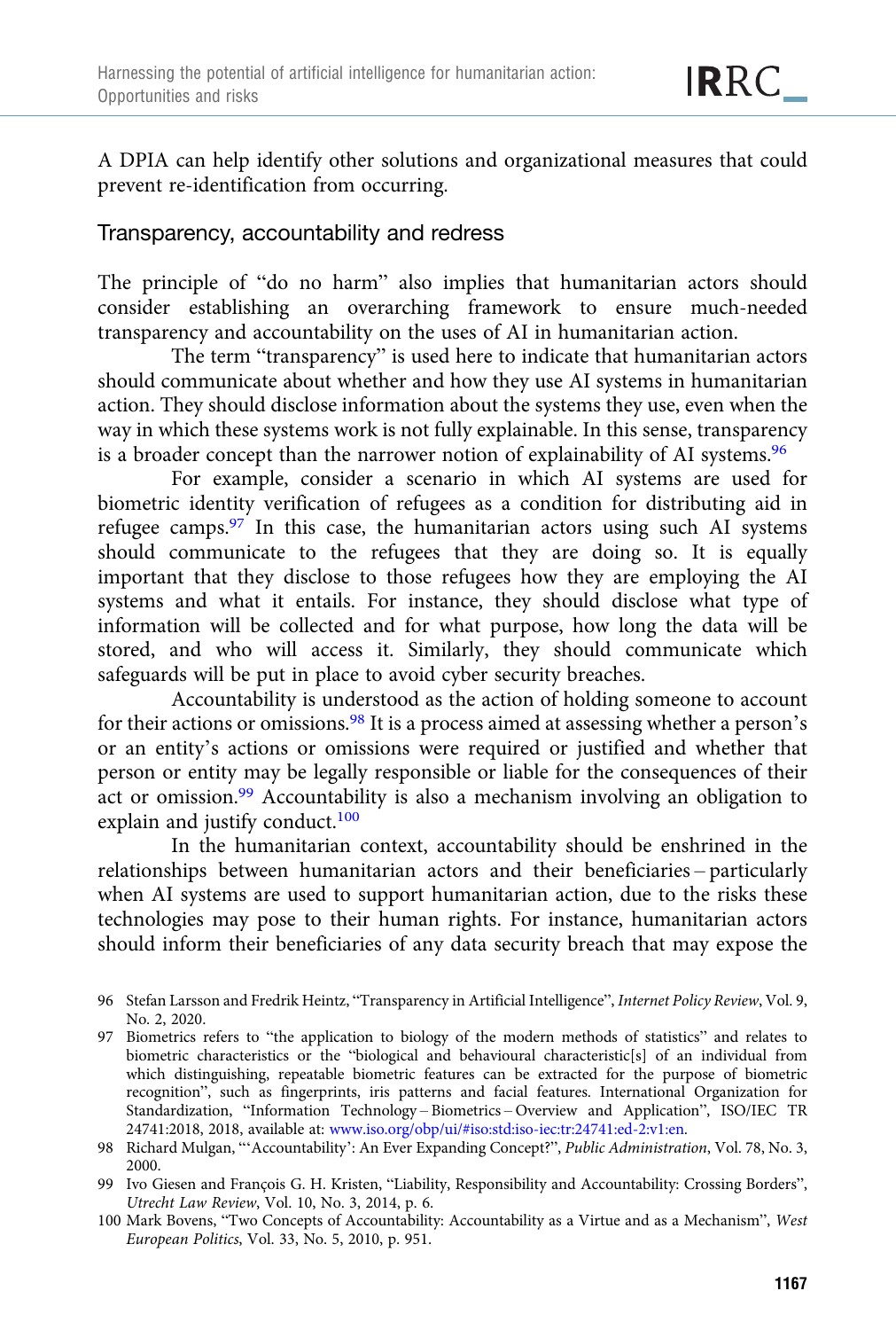A DPIA can help identify other solutions and organizational measures that could prevent re-identification from occurring.

## Transparency, accountability and redress

The principle of "do no harm" also implies that humanitarian actors should consider establishing an overarching framework to ensure much-needed transparency and accountability on the uses of AI in humanitarian action.

The term "transparency" is used here to indicate that humanitarian actors should communicate about whether and how they use AI systems in humanitarian action. They should disclose information about the systems they use, even when the way in which these systems work is not fully explainable. In this sense, transparency is a broader concept than the narrower notion of explainability of AI systems.<sup>96</sup>

For example, consider a scenario in which AI systems are used for biometric identity verification of refugees as a condition for distributing aid in refugee camps. $97$  In this case, the humanitarian actors using such AI systems should communicate to the refugees that they are doing so. It is equally important that they disclose to those refugees how they are employing the AI systems and what it entails. For instance, they should disclose what type of information will be collected and for what purpose, how long the data will be stored, and who will access it. Similarly, they should communicate which safeguards will be put in place to avoid cyber security breaches.

Accountability is understood as the action of holding someone to account for their actions or omissions.<sup>98</sup> It is a process aimed at assessing whether a person's or an entity's actions or omissions were required or justified and whether that person or entity may be legally responsible or liable for the consequences of their act or omission.99 Accountability is also a mechanism involving an obligation to explain and justify conduct.<sup>100</sup>

In the humanitarian context, accountability should be enshrined in the relationships between humanitarian actors and their beneficiaries – particularly when AI systems are used to support humanitarian action, due to the risks these technologies may pose to their human rights. For instance, humanitarian actors should inform their beneficiaries of any data security breach that may expose the

<sup>96</sup> Stefan Larsson and Fredrik Heintz, "Transparency in Artificial Intelligence", Internet Policy Review, Vol. 9, No. 2, 2020.

<sup>97</sup> Biometrics refers to "the application to biology of the modern methods of statistics" and relates to biometric characteristics or the "biological and behavioural characteristic[s] of an individual from which distinguishing, repeatable biometric features can be extracted for the purpose of biometric recognition", such as fingerprints, iris patterns and facial features. International Organization for Standardization, "Information Technology – Biometrics – Overview and Application", ISO/IEC TR 24741:2018, 2018, available at: [www.iso.org/obp/ui/#iso:std:iso-iec:tr:24741:ed-2:v1:en.](https://www.iso.org/obp/ui/%23iso:std:iso-iec:tr:24741:ed-2:v1:en)

<sup>98</sup> Richard Mulgan, "'Accountability': An Ever Expanding Concept?", Public Administration, Vol. 78, No. 3, 2000.

<sup>99</sup> Ivo Giesen and François G. H. Kristen, "Liability, Responsibility and Accountability: Crossing Borders", Utrecht Law Review, Vol. 10, No. 3, 2014, p. 6.

<sup>100</sup> Mark Bovens, "Two Concepts of Accountability: Accountability as a Virtue and as a Mechanism", West European Politics, Vol. 33, No. 5, 2010, p. 951.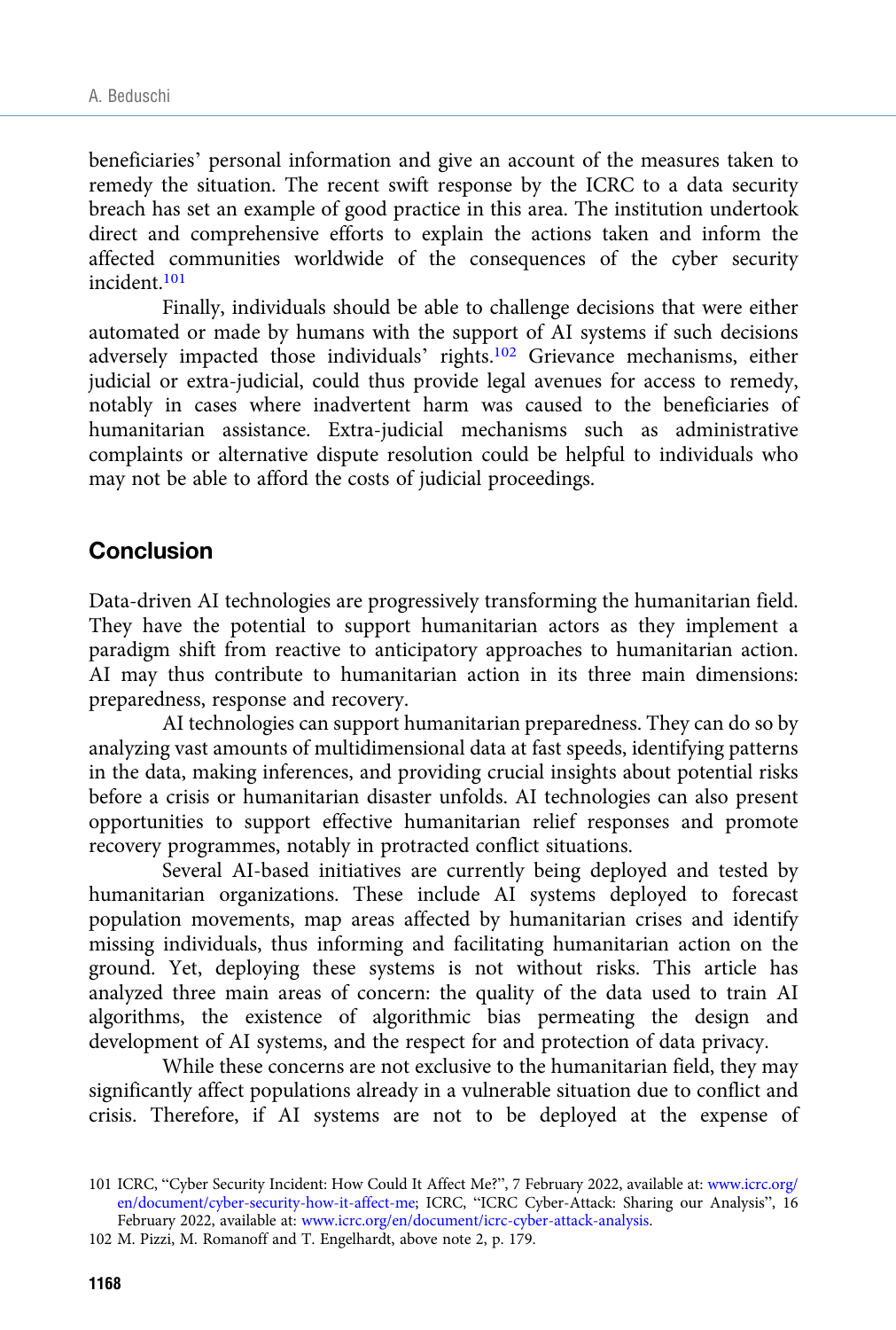beneficiaries' personal information and give an account of the measures taken to remedy the situation. The recent swift response by the ICRC to a data security breach has set an example of good practice in this area. The institution undertook direct and comprehensive efforts to explain the actions taken and inform the affected communities worldwide of the consequences of the cyber security incident.101

Finally, individuals should be able to challenge decisions that were either automated or made by humans with the support of AI systems if such decisions adversely impacted those individuals' rights.102 Grievance mechanisms, either judicial or extra-judicial, could thus provide legal avenues for access to remedy, notably in cases where inadvertent harm was caused to the beneficiaries of humanitarian assistance. Extra-judicial mechanisms such as administrative complaints or alternative dispute resolution could be helpful to individuals who may not be able to afford the costs of judicial proceedings.

## Conclusion

Data-driven AI technologies are progressively transforming the humanitarian field. They have the potential to support humanitarian actors as they implement a paradigm shift from reactive to anticipatory approaches to humanitarian action. AI may thus contribute to humanitarian action in its three main dimensions: preparedness, response and recovery.

AI technologies can support humanitarian preparedness. They can do so by analyzing vast amounts of multidimensional data at fast speeds, identifying patterns in the data, making inferences, and providing crucial insights about potential risks before a crisis or humanitarian disaster unfolds. AI technologies can also present opportunities to support effective humanitarian relief responses and promote recovery programmes, notably in protracted conflict situations.

Several AI-based initiatives are currently being deployed and tested by humanitarian organizations. These include AI systems deployed to forecast population movements, map areas affected by humanitarian crises and identify missing individuals, thus informing and facilitating humanitarian action on the ground. Yet, deploying these systems is not without risks. This article has analyzed three main areas of concern: the quality of the data used to train AI algorithms, the existence of algorithmic bias permeating the design and development of AI systems, and the respect for and protection of data privacy.

While these concerns are not exclusive to the humanitarian field, they may significantly affect populations already in a vulnerable situation due to conflict and crisis. Therefore, if AI systems are not to be deployed at the expense of

102 M. Pizzi, M. Romanoff and T. Engelhardt, above note 2, p. 179.

<sup>101</sup> ICRC, "Cyber Security Incident: How Could It Affect Me?", 7 February 2022, available at: [www.icrc.org/](https://www.icrc.org/en/document/cyber-security-how-it-affect-me) [en/document/cyber-security-how-it-affect-me;](https://www.icrc.org/en/document/cyber-security-how-it-affect-me) ICRC, "ICRC Cyber-Attack: Sharing our Analysis", 16 February 2022, available at: [www.icrc.org/en/document/icrc-cyber-attack-analysis](https://www.icrc.org/en/document/icrc-cyber-attack-analysis).